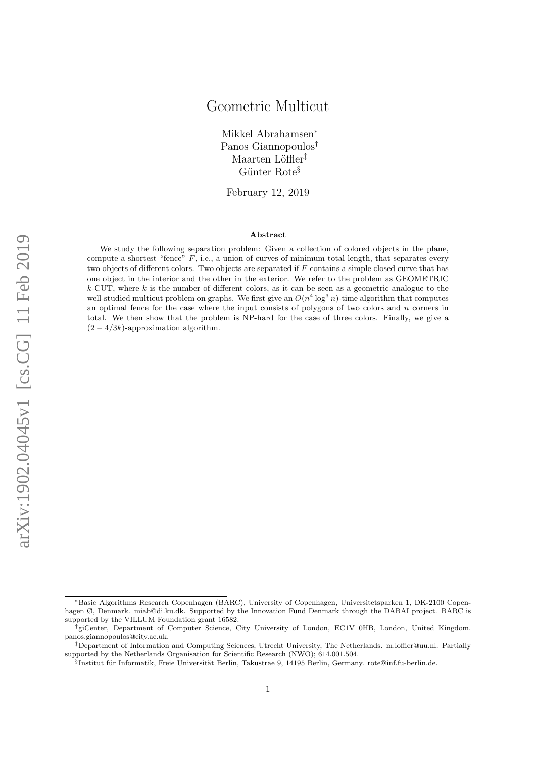Mikkel Abrahamsen<sup>∗</sup> Panos Giannopoulos† Maarten Löffler<sup>‡</sup> Günter Rote<sup>§</sup>

February 12, 2019

#### Abstract

We study the following separation problem: Given a collection of colored objects in the plane, compute a shortest "fence"  $F$ , i.e., a union of curves of minimum total length, that separates every two objects of different colors. Two objects are separated if  $F$  contains a simple closed curve that has one object in the interior and the other in the exterior. We refer to the problem as GEOMETRIC  $k$ -CUT, where k is the number of different colors, as it can be seen as a geometric analogue to the well-studied multicut problem on graphs. We first give an  $O(n^4 \log^3 n)$ -time algorithm that computes an optimal fence for the case where the input consists of polygons of two colors and  $n$  corners in total. We then show that the problem is NP-hard for the case of three colors. Finally, we give a  $(2-4/3k)$ -approximation algorithm.

<sup>∗</sup>Basic Algorithms Research Copenhagen (BARC), University of Copenhagen, Universitetsparken 1, DK-2100 Copenhagen Ø, Denmark. miab@di.ku.dk. Supported by the Innovation Fund Denmark through the DABAI project. BARC is supported by the VILLUM Foundation grant 16582.

<sup>†</sup>giCenter, Department of Computer Science, City University of London, EC1V 0HB, London, United Kingdom. panos.giannopoulos@city.ac.uk.

<sup>‡</sup>Department of Information and Computing Sciences, Utrecht University, The Netherlands. m.loffler@uu.nl. Partially supported by the Netherlands Organisation for Scientific Research (NWO); 614.001.504.

<sup>§</sup>Institut für Informatik, Freie Universität Berlin, Takustrae 9, 14195 Berlin, Germany. rote@inf.fu-berlin.de.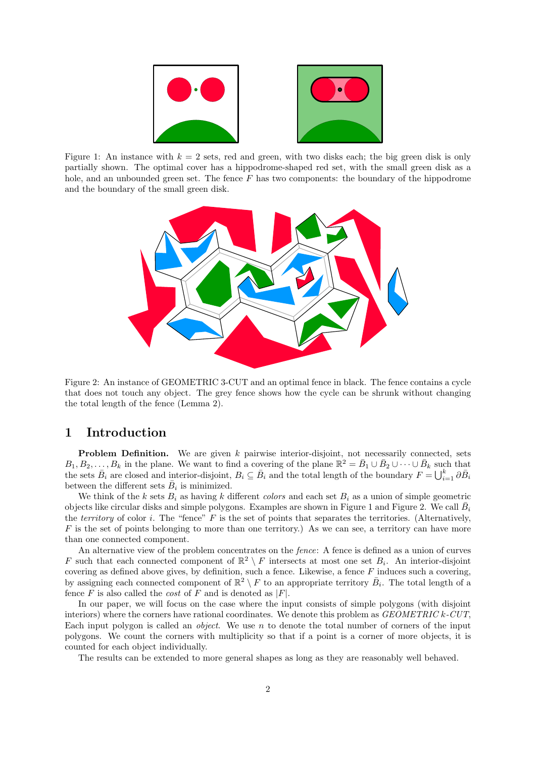<span id="page-1-0"></span>

<span id="page-1-1"></span>Figure 1: An instance with  $k = 2$  sets, red and green, with two disks each; the big green disk is only partially shown. The optimal cover has a hippodrome-shaped red set, with the small green disk as a hole, and an unbounded green set. The fence  $F$  has two components: the boundary of the hippodrome and the boundary of the small green disk.



Figure 2: An instance of GEOMETRIC 3-CUT and an optimal fence in black. The fence contains a cycle that does not touch any object. The grey fence shows how the cycle can be shrunk without changing the total length of the fence (Lemma [2\)](#page-2-0).

## 1 Introduction

**Problem Definition.** We are given  $k$  pairwise interior-disjoint, not necessarily connected, sets  $B_1, B_2, \ldots, B_k$  in the plane. We want to find a covering of the plane  $\mathbb{R}^2 = \bar{B}_1 \cup \bar{B}_2 \cup \cdots \cup \bar{B}_k$  such that the sets  $\bar{B}_i$  are closed and interior-disjoint,  $B_i \subseteq \bar{B}_i$  and the total length of the boundary  $F = \bigcup_{i=1}^k \partial \bar{B}_i$ between the different sets  $\bar{B}_i$  is minimized.

We think of the k sets  $B_i$  as having k different colors and each set  $B_i$  as a union of simple geometric objects like circular disks and simple polygons. Examples are shown in Figure [1](#page-1-0) and Figure [2.](#page-1-1) We call  $\bar{B}_i$ the *territory* of color i. The "fence"  $F$  is the set of points that separates the territories. (Alternatively,  $F$  is the set of points belonging to more than one territory.) As we can see, a territory can have more than one connected component.

An alternative view of the problem concentrates on the fence: A fence is defined as a union of curves F such that each connected component of  $\mathbb{R}^2 \setminus F$  intersects at most one set  $B_i$ . An interior-disjoint covering as defined above gives, by definition, such a fence. Likewise, a fence  $F$  induces such a covering, by assigning each connected component of  $\mathbb{R}^2 \setminus F$  to an appropriate territory  $\bar{B}_i$ . The total length of a fence  $F$  is also called the *cost* of  $F$  and is denoted as  $|F|$ .

In our paper, we will focus on the case where the input consists of simple polygons (with disjoint interiors) where the corners have rational coordinates. We denote this problem as  $GEOMETRIC$  k-CUT, Each input polygon is called an *object*. We use n to denote the total number of corners of the input polygons. We count the corners with multiplicity so that if a point is a corner of more objects, it is counted for each object individually.

The results can be extended to more general shapes as long as they are reasonably well behaved.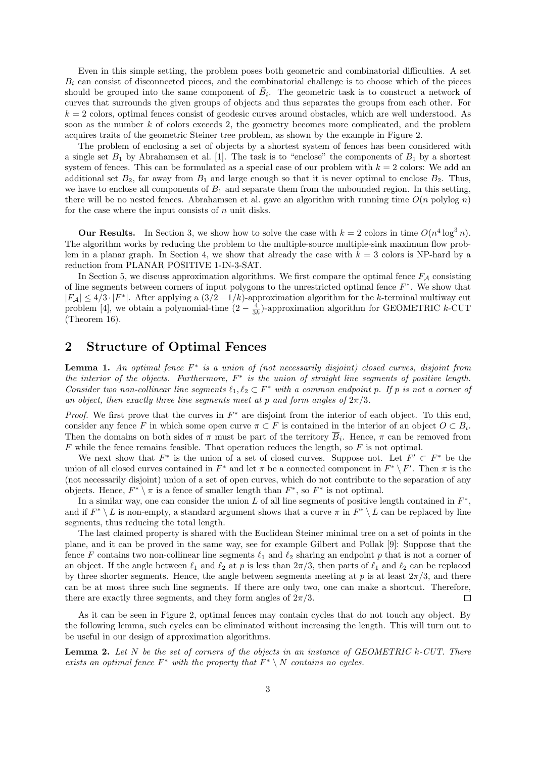Even in this simple setting, the problem poses both geometric and combinatorial difficulties. A set  $B_i$  can consist of disconnected pieces, and the combinatorial challenge is to choose which of the pieces should be grouped into the same component of  $\bar{B}_i$ . The geometric task is to construct a network of curves that surrounds the given groups of objects and thus separates the groups from each other. For  $k = 2$  colors, optimal fences consist of geodesic curves around obstacles, which are well understood. As soon as the number  $k$  of colors exceeds 2, the geometry becomes more complicated, and the problem acquires traits of the geometric Steiner tree problem, as shown by the example in Figure [2.](#page-1-1)

The problem of enclosing a set of objects by a shortest system of fences has been considered with a single set  $B_1$  by Abrahamsen et al. [\[1\]](#page-22-0). The task is to "enclose" the components of  $B_1$  by a shortest system of fences. This can be formulated as a special case of our problem with  $k = 2$  colors: We add an additional set  $B_2$ , far away from  $B_1$  and large enough so that it is never optimal to enclose  $B_2$ . Thus, we have to enclose all components of  $B_1$  and separate them from the unbounded region. In this setting, there will be no nested fences. Abrahamsen et al. gave an algorithm with running time  $O(n \text{ polylog } n)$ for the case where the input consists of  $n$  unit disks.

**Our Results.** In Section [3,](#page-3-0) we show how to solve the case with  $k = 2$  colors in time  $O(n^4 \log^3 n)$ . The algorithm works by reducing the problem to the multiple-source multiple-sink maximum flow prob-lem in a planar graph. In Section [4,](#page-4-0) we show that already the case with  $k = 3$  colors is NP-hard by a reduction from PLANAR POSITIVE 1-IN-3-SAT.

In Section [5,](#page-18-0) we discuss approximation algorithms. We first compare the optimal fence  $F_A$  consisting of line segments between corners of input polygons to the unrestricted optimal fence  $F^*$ . We show that  $|F_A|$  ≤ 4/3⋅ $|F^*|$ . After applying a  $(3/2-1/k)$ -approximation algorithm for the k-terminal multiway cut problem [\[4\]](#page-22-1), we obtain a polynomial-time  $(2 - \frac{4}{3k})$ -approximation algorithm for GEOMETRIC k-CUT (Theorem [16\)](#page-22-2).

## 2 Structure of Optimal Fences

<span id="page-2-1"></span>**Lemma 1.** An optimal fence  $F^*$  is a union of (not necessarily disjoint) closed curves, disjoint from the interior of the objects. Furthermore,  $F^*$  is the union of straight line segments of positive length. Consider two non-collinear line segments  $\ell_1, \ell_2 \subset F^*$  with a common endpoint p. If p is not a corner of an object, then exactly three line segments meet at p and form angles of  $2\pi/3$ .

*Proof.* We first prove that the curves in  $F^*$  are disjoint from the interior of each object. To this end, consider any fence F in which some open curve  $\pi \subset F$  is contained in the interior of an object  $O \subset B_i$ . Then the domains on both sides of  $\pi$  must be part of the territory  $B_i$ . Hence,  $\pi$  can be removed from  $F$  while the fence remains feasible. That operation reduces the length, so  $F$  is not optimal.

We next show that  $F^*$  is the union of a set of closed curves. Suppose not. Let  $F' \subset F^*$  be the union of all closed curves contained in  $F^*$  and let  $\pi$  be a connected component in  $F^* \setminus F'$ . Then  $\pi$  is the (not necessarily disjoint) union of a set of open curves, which do not contribute to the separation of any objects. Hence,  $F^* \setminus \pi$  is a fence of smaller length than  $F^*$ , so  $F^*$  is not optimal.

In a similar way, one can consider the union L of all line segments of positive length contained in  $F^*$ , and if  $F^* \setminus L$  is non-empty, a standard argument shows that a curve  $\pi$  in  $F^* \setminus L$  can be replaced by line segments, thus reducing the total length.

The last claimed property is shared with the Euclidean Steiner minimal tree on a set of points in the plane, and it can be proved in the same way, see for example Gilbert and Pollak [\[9\]](#page-23-0): Suppose that the fence F contains two non-collinear line segments  $\ell_1$  and  $\ell_2$  sharing an endpoint p that is not a corner of an object. If the angle between  $\ell_1$  and  $\ell_2$  at p is less than  $2\pi/3$ , then parts of  $\ell_1$  and  $\ell_2$  can be replaced by three shorter segments. Hence, the angle between segments meeting at p is at least  $2\pi/3$ , and there can be at most three such line segments. If there are only two, one can make a shortcut. Therefore, there are exactly three segments, and they form angles of  $2\pi/3$ .  $\Box$ 

As it can be seen in Figure [2,](#page-1-1) optimal fences may contain cycles that do not touch any object. By the following lemma, such cycles can be eliminated without increasing the length. This will turn out to be useful in our design of approximation algorithms.

<span id="page-2-0"></span>**Lemma 2.** Let  $N$  be the set of corners of the objects in an instance of GEOMETRIC k-CUT. There exists an optimal fence  $F^*$  with the property that  $F^* \setminus N$  contains no cycles.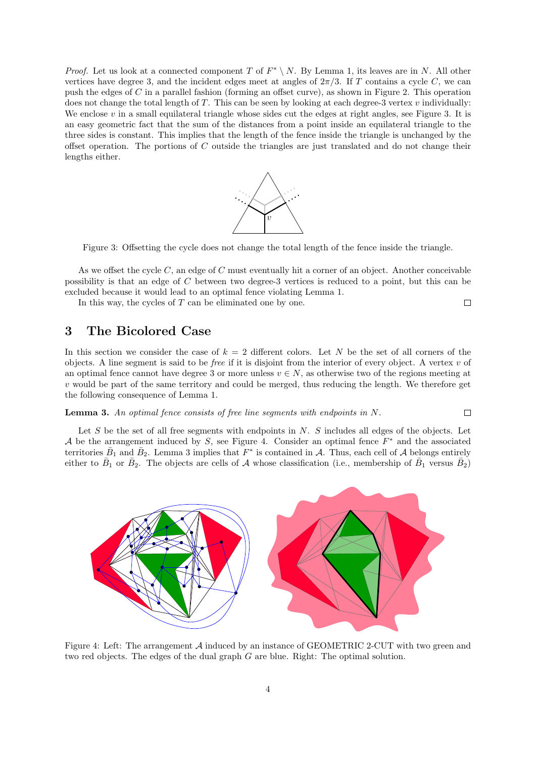*Proof.* Let us look at a connected component T of  $F^* \setminus N$ . By Lemma [1,](#page-2-1) its leaves are in N. All other vertices have degree 3, and the incident edges meet at angles of  $2\pi/3$ . If T contains a cycle C, we can push the edges of C in a parallel fashion (forming an offset curve), as shown in Figure [2.](#page-1-1) This operation does not change the total length of  $T$ . This can be seen by looking at each degree-3 vertex  $v$  individually: We enclose  $v$  in a small equilateral triangle whose sides cut the edges at right angles, see Figure [3.](#page-3-1) It is an easy geometric fact that the sum of the distances from a point inside an equilateral triangle to the three sides is constant. This implies that the length of the fence inside the triangle is unchanged by the offset operation. The portions of  $C$  outside the triangles are just translated and do not change their lengths either.



<span id="page-3-1"></span>Figure 3: Offsetting the cycle does not change the total length of the fence inside the triangle.

As we offset the cycle  $C$ , an edge of  $C$  must eventually hit a corner of an object. Another conceivable possibility is that an edge of C between two degree-3 vertices is reduced to a point, but this can be excluded because it would lead to an optimal fence violating Lemma [1.](#page-2-1)  $\Box$ 

In this way, the cycles of  $T$  can be eliminated one by one.

# <span id="page-3-0"></span>3 The Bicolored Case

In this section we consider the case of  $k = 2$  different colors. Let N be the set of all corners of the objects. A line segment is said to be *free* if it is disjoint from the interior of every object. A vertex  $v$  of an optimal fence cannot have degree 3 or more unless  $v \in N$ , as otherwise two of the regions meeting at  $v$  would be part of the same territory and could be merged, thus reducing the length. We therefore get the following consequence of Lemma [1.](#page-2-1)

<span id="page-3-3"></span>**Lemma 3.** An optimal fence consists of free line segments with endpoints in  $N$ .  $\Box$ 

Let  $S$  be the set of all free segments with endpoints in  $N$ .  $S$  includes all edges of the objects. Let A be the arrangement induced by S, see Figure [4.](#page-3-2) Consider an optimal fence  $F^*$  and the associated territories  $\bar{B}_1$  and  $\bar{B}_2$ . Lemma [3](#page-3-3) implies that  $F^*$  is contained in A. Thus, each cell of A belongs entirely either to  $\bar{B}_1$  or  $\bar{B}_2$ . The objects are cells of A whose classification (i.e., membership of  $\bar{B}_1$  versus  $\bar{B}_2$ )

<span id="page-3-2"></span>

Figure 4: Left: The arrangement A induced by an instance of GEOMETRIC 2-CUT with two green and two red objects. The edges of the dual graph G are blue. Right: The optimal solution.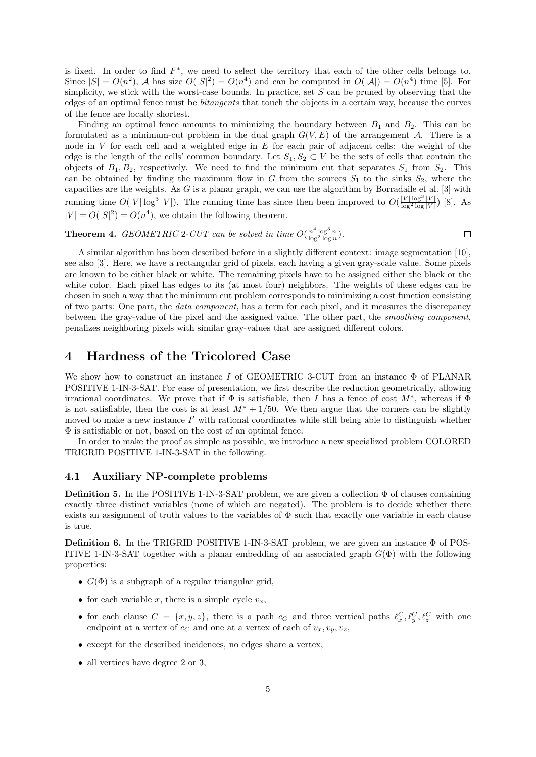is fixed. In order to find  $F^*$ , we need to select the territory that each of the other cells belongs to. Since  $|S| = O(n^2)$ , A has size  $O(|S|^2) = O(n^4)$  and can be computed in  $O(|A|) = O(n^4)$  time [\[5\]](#page-22-3). For simplicity, we stick with the worst-case bounds. In practice, set  $S$  can be pruned by observing that the edges of an optimal fence must be bitangents that touch the objects in a certain way, because the curves of the fence are locally shortest.

Finding an optimal fence amounts to minimizing the boundary between  $\bar{B}_1$  and  $\bar{B}_2$ . This can be formulated as a minimum-cut problem in the dual graph  $G(V, E)$  of the arrangement A. There is a node in V for each cell and a weighted edge in  $E$  for each pair of adjacent cells: the weight of the edge is the length of the cells' common boundary. Let  $S_1, S_2 \subset V$  be the sets of cells that contain the objects of  $B_1, B_2$ , respectively. We need to find the minimum cut that separates  $S_1$  from  $S_2$ . This can be obtained by finding the maximum flow in G from the sources  $S_1$  to the sinks  $S_2$ , where the capacities are the weights. As G is a planar graph, we can use the algorithm by Borradaile et al. [\[3\]](#page-22-4) with running time  $O(|V|\log^3|V|)$ . The running time has since then been improved to  $O(\frac{|V|\log^3|V|}{\log^2\log|V|})$  [\[8\]](#page-23-1). As  $|V| = O(|S|^2) = O(n^4)$ , we obtain the following theorem.

**Theorem 4.** GEOMETRIC 2-CUT can be solved in time  $O(\frac{n^4 \log^3 n}{\log^2 \log n})$  $\Box$  $\frac{n \log^2 n}{\log^2 \log n}$ ).

A similar algorithm has been described before in a slightly different context: image segmentation [\[10\]](#page-23-2), see also [\[3\]](#page-22-4). Here, we have a rectangular grid of pixels, each having a given gray-scale value. Some pixels are known to be either black or white. The remaining pixels have to be assigned either the black or the white color. Each pixel has edges to its (at most four) neighbors. The weights of these edges can be chosen in such a way that the minimum cut problem corresponds to minimizing a cost function consisting of two parts: One part, the data component, has a term for each pixel, and it measures the discrepancy between the gray-value of the pixel and the assigned value. The other part, the smoothing component, penalizes neighboring pixels with similar gray-values that are assigned different colors.

## <span id="page-4-0"></span>4 Hardness of the Tricolored Case

We show how to construct an instance I of GEOMETRIC 3-CUT from an instance Φ of PLANAR POSITIVE 1-IN-3-SAT. For ease of presentation, we first describe the reduction geometrically, allowing irrational coordinates. We prove that if  $\Phi$  is satisfiable, then I has a fence of cost  $M^*$ , whereas if  $\Phi$ is not satisfiable, then the cost is at least  $M^* + 1/50$ . We then argue that the corners can be slightly moved to make a new instance  $I'$  with rational coordinates while still being able to distinguish whether Φ is satisfiable or not, based on the cost of an optimal fence.

In order to make the proof as simple as possible, we introduce a new specialized problem COLORED TRIGRID POSITIVE 1-IN-3-SAT in the following.

### 4.1 Auxiliary NP-complete problems

**Definition 5.** In the POSITIVE 1-IN-3-SAT problem, we are given a collection  $\Phi$  of clauses containing exactly three distinct variables (none of which are negated). The problem is to decide whether there exists an assignment of truth values to the variables of  $\Phi$  such that exactly one variable in each clause is true.

Definition 6. In the TRIGRID POSITIVE 1-IN-3-SAT problem, we are given an instance Φ of POS-ITIVE 1-IN-3-SAT together with a planar embedding of an associated graph  $G(\Phi)$  with the following properties:

- $G(\Phi)$  is a subgraph of a regular triangular grid,
- for each variable x, there is a simple cycle  $v_x$ ,
- for each clause  $C = \{x, y, z\}$ , there is a path  $c_C$  and three vertical paths  $\ell_x^C, \ell_y^C, \ell_z^C$  with one endpoint at a vertex of  $c_C$  and one at a vertex of each of  $v_x, v_y, v_z$ ,
- except for the described incidences, no edges share a vertex,
- all vertices have degree 2 or 3,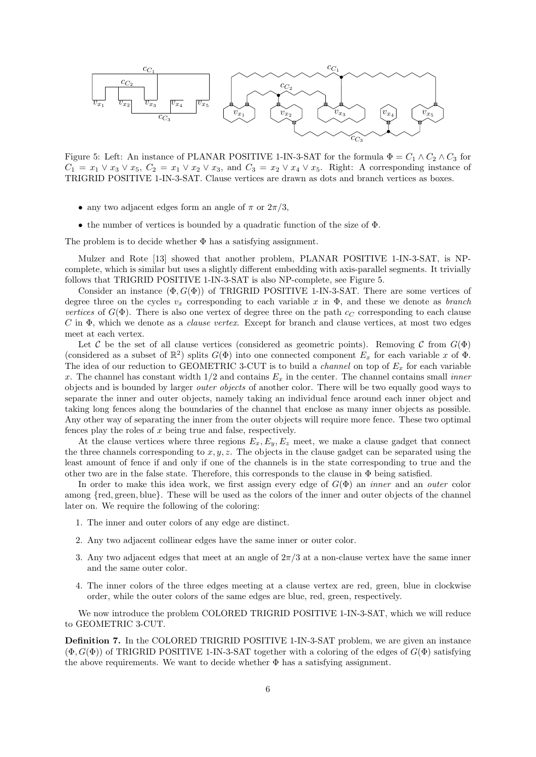<span id="page-5-0"></span>

Figure 5: Left: An instance of PLANAR POSITIVE 1-IN-3-SAT for the formula  $\Phi = C_1 \wedge C_2 \wedge C_3$  for  $C_1 = x_1 \vee x_3 \vee x_5$ ,  $C_2 = x_1 \vee x_2 \vee x_3$ , and  $C_3 = x_2 \vee x_4 \vee x_5$ . Right: A corresponding instance of TRIGRID POSITIVE 1-IN-3-SAT. Clause vertices are drawn as dots and branch vertices as boxes.

- any two adjacent edges form an angle of  $\pi$  or  $2\pi/3$ ,
- the number of vertices is bounded by a quadratic function of the size of  $\Phi$ .

The problem is to decide whether  $\Phi$  has a satisfying assignment.

Mulzer and Rote [\[13\]](#page-23-3) showed that another problem, PLANAR POSITIVE 1-IN-3-SAT, is NPcomplete, which is similar but uses a slightly different embedding with axis-parallel segments. It trivially follows that TRIGRID POSITIVE 1-IN-3-SAT is also NP-complete, see Figure [5.](#page-5-0)

Consider an instance  $(\Phi, G(\Phi))$  of TRIGRID POSITIVE 1-IN-3-SAT. There are some vertices of degree three on the cycles  $v_x$  corresponding to each variable x in  $\Phi$ , and these we denote as *branch* vertices of  $G(\Phi)$ . There is also one vertex of degree three on the path  $c<sub>C</sub>$  corresponding to each clause  $C$  in  $\Phi$ , which we denote as a *clause vertex*. Except for branch and clause vertices, at most two edges meet at each vertex.

Let C be the set of all clause vertices (considered as geometric points). Removing C from  $G(\Phi)$ (considered as a subset of  $\mathbb{R}^2$ ) splits  $G(\Phi)$  into one connected component  $E_x$  for each variable x of  $\Phi$ . The idea of our reduction to GEOMETRIC 3-CUT is to build a *channel* on top of  $E_x$  for each variable x. The channel has constant width  $1/2$  and contains  $E_x$  in the center. The channel contains small *inner* objects and is bounded by larger outer objects of another color. There will be two equally good ways to separate the inner and outer objects, namely taking an individual fence around each inner object and taking long fences along the boundaries of the channel that enclose as many inner objects as possible. Any other way of separating the inner from the outer objects will require more fence. These two optimal fences play the roles of  $x$  being true and false, respectively.

At the clause vertices where three regions  $E_x, E_y, E_z$  meet, we make a clause gadget that connect the three channels corresponding to  $x, y, z$ . The objects in the clause gadget can be separated using the least amount of fence if and only if one of the channels is in the state corresponding to true and the other two are in the false state. Therefore, this corresponds to the clause in  $\Phi$  being satisfied.

In order to make this idea work, we first assign every edge of  $G(\Phi)$  an *inner* and an *outer* color among {red, green, blue}. These will be used as the colors of the inner and outer objects of the channel later on. We require the following of the coloring:

- 1. The inner and outer colors of any edge are distinct.
- 2. Any two adjacent collinear edges have the same inner or outer color.
- 3. Any two adjacent edges that meet at an angle of  $2\pi/3$  at a non-clause vertex have the same inner and the same outer color.
- <span id="page-5-1"></span>4. The inner colors of the three edges meeting at a clause vertex are red, green, blue in clockwise order, while the outer colors of the same edges are blue, red, green, respectively.

We now introduce the problem COLORED TRIGRID POSITIVE 1-IN-3-SAT, which we will reduce to GEOMETRIC 3-CUT.

Definition 7. In the COLORED TRIGRID POSITIVE 1-IN-3-SAT problem, we are given an instance  $(\Phi, G(\Phi))$  of TRIGRID POSITIVE 1-IN-3-SAT together with a coloring of the edges of  $G(\Phi)$  satisfying the above requirements. We want to decide whether  $\Phi$  has a satisfying assignment.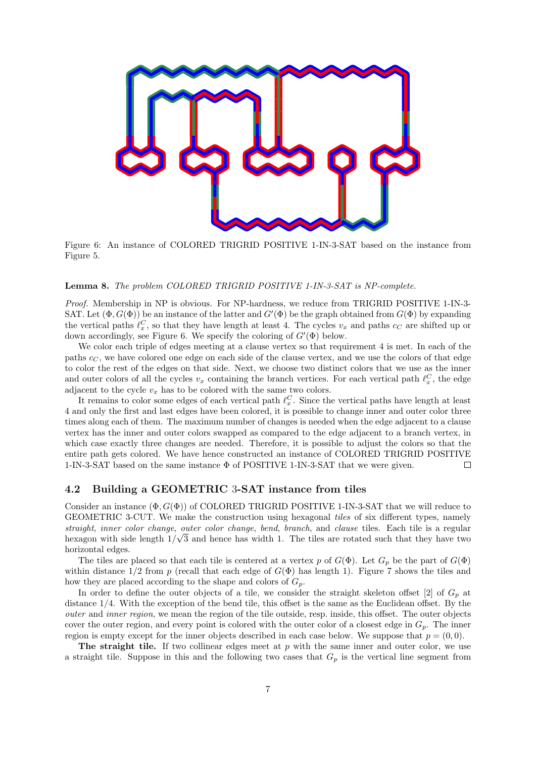<span id="page-6-0"></span>

Figure 6: An instance of COLORED TRIGRID POSITIVE 1-IN-3-SAT based on the instance from Figure [5.](#page-5-0)

### Lemma 8. The problem COLORED TRIGRID POSITIVE 1-IN-3-SAT is NP-complete.

Proof. Membership in NP is obvious. For NP-hardness, we reduce from TRIGRID POSITIVE 1-IN-3-SAT. Let  $(\Phi, G(\Phi))$  be an instance of the latter and  $G'(\Phi)$  be the graph obtained from  $G(\Phi)$  by expanding the vertical paths  $\ell_x^C$ , so that they have length at least 4. The cycles  $v_x$  and paths  $c_C$  are shifted up or down accordingly, see Figure [6.](#page-6-0) We specify the coloring of  $G'(\Phi)$  below.

We color each triple of edges meeting at a clause vertex so that requirement [4](#page-5-1) is met. In each of the paths  $c<sub>C</sub>$ , we have colored one edge on each side of the clause vertex, and we use the colors of that edge to color the rest of the edges on that side. Next, we choose two distinct colors that we use as the inner and outer colors of all the cycles  $v_x$  containing the branch vertices. For each vertical path  $\ell_x^C$ , the edge adjacent to the cycle  $v_x$  has to be colored with the same two colors.

It remains to color some edges of each vertical path  $\ell_x^C$ . Since the vertical paths have length at least 4 and only the first and last edges have been colored, it is possible to change inner and outer color three times along each of them. The maximum number of changes is needed when the edge adjacent to a clause vertex has the inner and outer colors swapped as compared to the edge adjacent to a branch vertex, in which case exactly three changes are needed. Therefore, it is possible to adjust the colors so that the entire path gets colored. We have hence constructed an instance of COLORED TRIGRID POSITIVE 1-IN-3-SAT based on the same instance Φ of POSITIVE 1-IN-3-SAT that we were given.  $\Box$ 

#### <span id="page-6-1"></span>4.2 Building a GEOMETRIC 3-SAT instance from tiles

Consider an instance  $(\Phi, G(\Phi))$  of COLORED TRIGRID POSITIVE 1-IN-3-SAT that we will reduce to GEOMETRIC 3-CUT. We make the construction using hexagonal tiles of six different types, namely straight, inner color change, outer color change, bend, branch, and clause tiles. Each tile is a regular hexagon with side length  $1/\sqrt{3}$  and hence has width 1. The tiles are rotated such that they have two horizontal edges.

The tiles are placed so that each tile is centered at a vertex p of  $G(\Phi)$ . Let  $G_p$  be the part of  $G(\Phi)$ within distance  $1/2$  from p (recall that each edge of  $G(\Phi)$  has length 1). Figure [7](#page-7-0) shows the tiles and how they are placed according to the shape and colors of  $G_p$ .

In order to define the outer objects of a tile, we consider the straight skeleton offset [\[2\]](#page-22-5) of  $G_p$  at distance  $1/4$ . With the exception of the bend tile, this offset is the same as the Euclidean offset. By the outer and inner region, we mean the region of the tile outside, resp. inside, this offset. The outer objects cover the outer region, and every point is colored with the outer color of a closest edge in  $G_p$ . The inner region is empty except for the inner objects described in each case below. We suppose that  $p = (0, 0)$ .

The straight tile. If two collinear edges meet at  $p$  with the same inner and outer color, we use a straight tile. Suppose in this and the following two cases that  $G_p$  is the vertical line segment from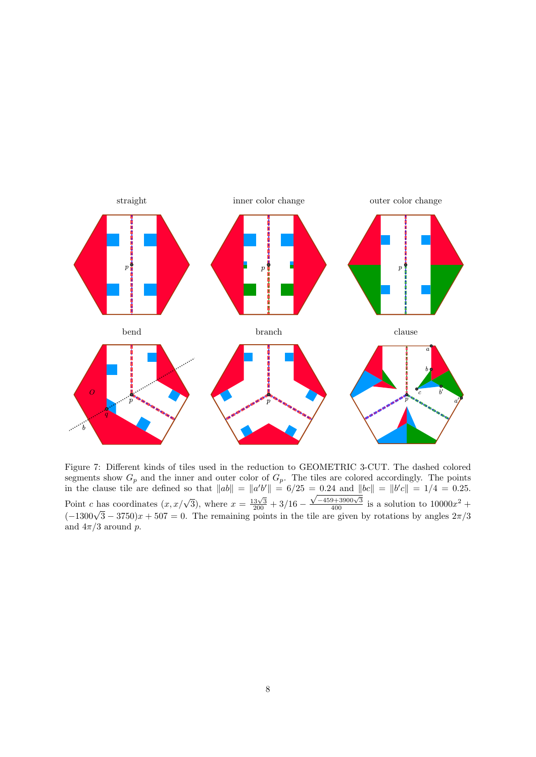<span id="page-7-0"></span>

Figure 7: Different kinds of tiles used in the reduction to GEOMETRIC 3-CUT. The dashed colored segments show  $G_p$  and the inner and outer color of  $G_p$ . The tiles are colored accordingly. The points in the clause tile are defined so that  $||ab|| = ||a'b'|| = 6/25 = 0.24$  and  $||bc|| = ||b'c|| = 1/4 = 0.25$ . Point c has coordinates  $(x, x/\sqrt{3})$ , where  $x = \frac{13\sqrt{3}}{200} + 3/16$  – In the clause the are defined so that  $||u_0|| = ||u_0|| = 6/23 = 0.24$  and  $||v_0|| = ||v_0|| = 1/4 = 0.23$ .<br>
Point *c* has coordinates  $(x, x/\sqrt{3})$ , where  $x = \frac{13\sqrt{3}}{200} + 3/16 - \frac{\sqrt{-459+3900\sqrt{3}}}{400}$  is a solution to  $10000x^2 + (-13$ and  $4\pi/3$  around p.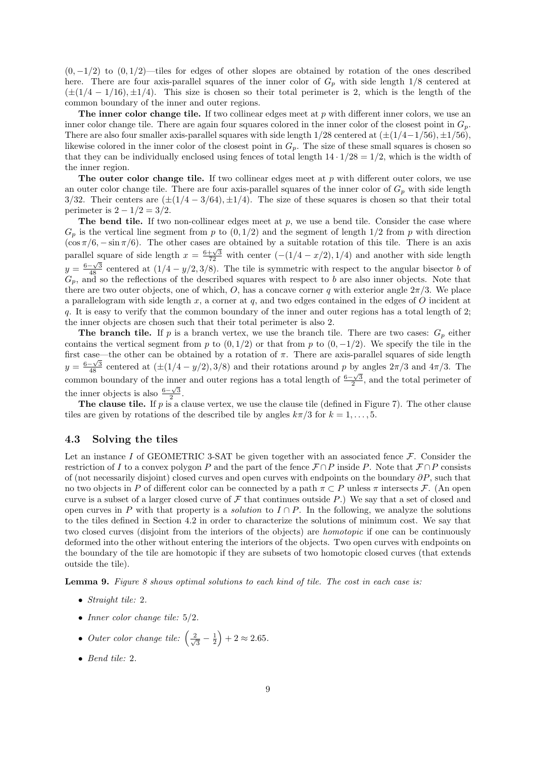$(0, -1/2)$  to  $(0, 1/2)$ —tiles for edges of other slopes are obtained by rotation of the ones described here. There are four axis-parallel squares of the inner color of  $G_p$  with side length  $1/8$  centered at  $(\pm(1/4 - 1/16), \pm 1/4)$ . This size is chosen so their total perimeter is 2, which is the length of the common boundary of the inner and outer regions.

The inner color change tile. If two collinear edges meet at  $p$  with different inner colors, we use an inner color change tile. There are again four squares colored in the inner color of the closest point in  $G_p$ . There are also four smaller axis-parallel squares with side length  $1/28$  centered at  $(\pm(1/4-1/56), \pm 1/56)$ , likewise colored in the inner color of the closest point in  $G_p$ . The size of these small squares is chosen so that they can be individually enclosed using fences of total length  $14 \cdot 1/28 = 1/2$ , which is the width of the inner region.

The outer color change tile. If two collinear edges meet at  $p$  with different outer colors, we use an outer color change tile. There are four axis-parallel squares of the inner color of  $G_p$  with side length 3/32. Their centers are  $(\pm (1/4 - 3/64), \pm 1/4)$ . The size of these squares is chosen so that their total perimeter is  $2 - 1/2 = 3/2$ .

The bend tile. If two non-collinear edges meet at  $p$ , we use a bend tile. Consider the case where  $G_p$  is the vertical line segment from p to  $(0, 1/2)$  and the segment of length  $1/2$  from p with direction  $(\cos \pi/6, -\sin \pi/6)$ . The other cases are obtained by a suitable rotation of this tile. There is an axis parallel square of side length  $x = \frac{6+\sqrt{3}}{72}$  with center  $(-(1/4 - x/2), 1/4)$  and another with side length  $y = \frac{6-\sqrt{3}}{48}$  centered at  $(1/4 - y/2, 3/8)$ . The tile is symmetric with respect to the angular bisector b of  $G_p$ , and so the reflections of the described squares with respect to b are also inner objects. Note that there are two outer objects, one of which, O, has a concave corner q with exterior angle  $2\pi/3$ . We place a parallelogram with side length  $x$ , a corner at  $q$ , and two edges contained in the edges of  $O$  incident at q. It is easy to verify that the common boundary of the inner and outer regions has a total length of 2; the inner objects are chosen such that their total perimeter is also 2.

The branch tile. If p is a branch vertex, we use the branch tile. There are two cases:  $G_p$  either contains the vertical segment from p to  $(0, 1/2)$  or that from p to  $(0, -1/2)$ . We specify the tile in the first case—the other can be obtained by a rotation of  $\pi$ . There are axis-parallel squares of side length  $y = \frac{6-\sqrt{3}}{48}$  centered at  $(\pm (1/4 - y/2), 3/8)$  and their rotations around p by angles  $2\pi/3$  and  $4\pi/3$ . The common boundary of the inner and outer regions has a total length of  $\frac{6-\sqrt{3}}{2}$ , and the total perimeter of the inner objects is also  $\frac{6-\sqrt{3}}{2}$ .

The clause tile. If p is a clause vertex, we use the clause tile (defined in Figure [7\)](#page-7-0). The other clause tiles are given by rotations of the described tile by angles  $k\pi/3$  for  $k = 1, \ldots, 5$ .

#### 4.3 Solving the tiles

Let an instance I of GEOMETRIC 3-SAT be given together with an associated fence  $\mathcal F$ . Consider the restriction of I to a convex polygon P and the part of the fence  $\mathcal{F} \cap P$  inside P. Note that  $\mathcal{F} \cap P$  consists of (not necessarily disjoint) closed curves and open curves with endpoints on the boundary  $\partial P$ , such that no two objects in P of different color can be connected by a path  $\pi \subset P$  unless  $\pi$  intersects F. (An open curve is a subset of a larger closed curve of  $\mathcal F$  that continues outside P.) We say that a set of closed and open curves in P with that property is a *solution* to  $I \cap P$ . In the following, we analyze the solutions to the tiles defined in Section [4.2](#page-6-1) in order to characterize the solutions of minimum cost. We say that two closed curves (disjoint from the interiors of the objects) are homotopic if one can be continuously deformed into the other without entering the interiors of the objects. Two open curves with endpoints on the boundary of the tile are homotopic if they are subsets of two homotopic closed curves (that extends outside the tile).

<span id="page-8-0"></span>**Lemma 9.** Figure [8](#page-9-0) shows optimal solutions to each kind of tile. The cost in each case is:

- Straight tile: 2.
- Inner color change tile:  $5/2$ .
- Outer color change tile:  $\left(\frac{2}{\sqrt{2}}\right)$  $\frac{2}{3} - \frac{1}{2}$  + 2  $\approx 2.65$ .
- Bend tile: 2.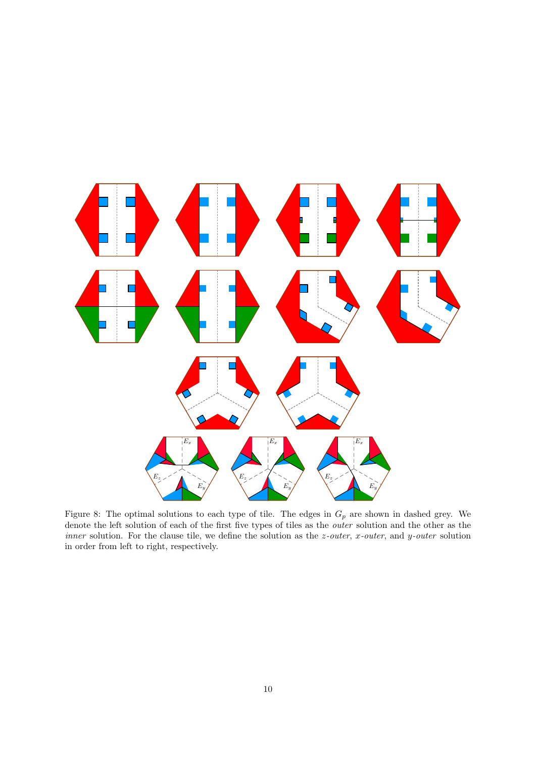<span id="page-9-0"></span>

Figure 8: The optimal solutions to each type of tile. The edges in  $G_p$  are shown in dashed grey. We denote the left solution of each of the first five types of tiles as the outer solution and the other as the *inner* solution. For the clause tile, we define the solution as the  $z$ -outer,  $x$ -outer, and  $y$ -outer solution in order from left to right, respectively.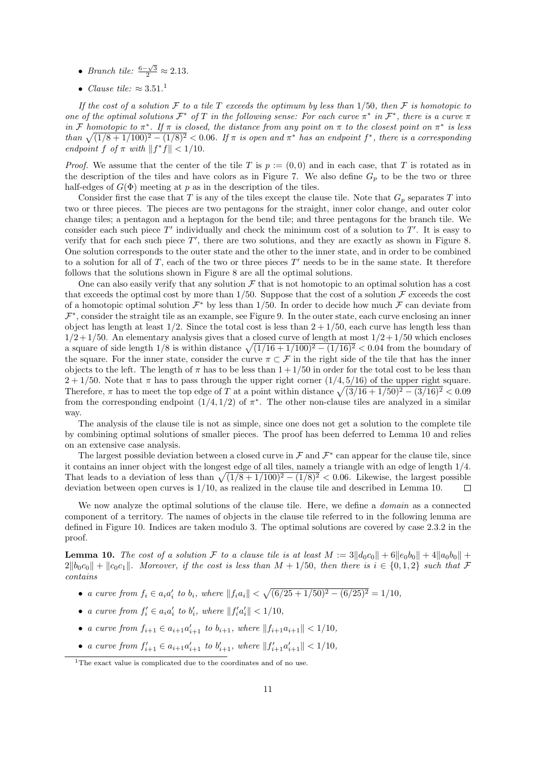- Branch tile:  $\frac{6-\sqrt{3}}{2} \approx 2.13$ .
- Clause tile:  $\approx 3.51$  $\approx 3.51$ .<sup>1</sup>

If the cost of a solution F to a tile T exceeds the optimum by less than 1/50, then F is homotopic to one of the optimal solutions  $\mathcal{F}^*$  of T in the following sense: For each curve  $\pi^*$  in  $\mathcal{F}^*$ , there is a curve  $\pi$ in F homotopic to  $\pi^*$ . If  $\pi$  is closed, the distance from any point on  $\pi$  to the closest point on  $\pi^*$  is less than  $\sqrt{(1/8+1/100)^2-(1/8)^2}$  < 0.06. If  $\pi$  is open and  $\pi^*$  has an endpoint  $f^*$ , there is a corresponding endpoint  $f \circ f \pi$  with  $||f^*f|| < 1/10$ .

*Proof.* We assume that the center of the tile T is  $p := (0, 0)$  and in each case, that T is rotated as in the description of the tiles and have colors as in Figure [7.](#page-7-0) We also define  $G_p$  to be the two or three half-edges of  $G(\Phi)$  meeting at p as in the description of the tiles.

Consider first the case that T is any of the tiles except the clause tile. Note that  $G_p$  separates T into two or three pieces. The pieces are two pentagons for the straight, inner color change, and outer color change tiles; a pentagon and a heptagon for the bend tile; and three pentagons for the branch tile. We consider each such piece  $T'$  individually and check the minimum cost of a solution to  $T'$ . It is easy to verify that for each such piece  $T'$ , there are two solutions, and they are exactly as shown in Figure [8.](#page-9-0) One solution corresponds to the outer state and the other to the inner state, and in order to be combined to a solution for all of  $T$ , each of the two or three pieces  $T'$  needs to be in the same state. It therefore follows that the solutions shown in Figure [8](#page-9-0) are all the optimal solutions.

One can also easily verify that any solution  $\mathcal F$  that is not homotopic to an optimal solution has a cost that exceeds the optimal cost by more than  $1/50$ . Suppose that the cost of a solution  $\mathcal F$  exceeds the cost of a homotopic optimal solution  $\mathcal{F}^*$  by less than 1/50. In order to decide how much  $\mathcal F$  can deviate from  $\mathcal{F}^*$ , consider the straight tile as an example, see Figure [9.](#page-11-0) In the outer state, each curve enclosing an inner object has length at least  $1/2$ . Since the total cost is less than  $2 + 1/50$ , each curve has length less than  $1/2 + 1/50$ . An elementary analysis gives that a closed curve of length at most  $1/2 + 1/50$  which encloses a square of side length  $1/8$  is within distance  $\sqrt{(1/16 + 1/100)^2 - (1/16)^2}$  < 0.04 from the boundary of the square. For the inner state, consider the curve  $\pi \subset \mathcal{F}$  in the right side of the tile that has the inner objects to the left. The length of  $\pi$  has to be less than  $1 + 1/50$  in order for the total cost to be less than  $2 + 1/50$ . Note that  $\pi$  has to pass through the upper right corner  $(1/4, 5/16)$  of the upper right square. Therefore,  $\pi$  has to meet the top edge of T at a point within distance  $\sqrt{(3/16 + 1/50)^2 - (3/16)^2} < 0.09$ from the corresponding endpoint  $(1/4, 1/2)$  of  $\pi^*$ . The other non-clause tiles are analyzed in a similar way.

The analysis of the clause tile is not as simple, since one does not get a solution to the complete tile by combining optimal solutions of smaller pieces. The proof has been deferred to Lemma [10](#page-10-1) and relies on an extensive case analysis.

The largest possible deviation between a closed curve in  $\mathcal F$  and  $\mathcal F^*$  can appear for the clause tile, since it contains an inner object with the longest edge of all tiles, namely a triangle with an edge of length 1/4. That leads to a deviation of less than  $\sqrt{(1/8 + 1/100)^2 - (1/8)^2} < 0.06$ . Likewise, the largest possible deviation between open curves is 1/10, as realized in the clause tile and described in Lemma [10.](#page-10-1)  $\Box$ 

We now analyze the optimal solutions of the clause tile. Here, we define a *domain* as a connected component of a territory. The names of objects in the clause tile referred to in the following lemma are defined in Figure [10.](#page-12-0) Indices are taken modulo 3. The optimal solutions are covered by case 2.3.2 in the proof.

<span id="page-10-1"></span>**Lemma 10.** The cost of a solution F to a clause tile is at least  $M := 3||d_0c_0|| + 6||e_0b_0|| + 4||a_0b_0|| +$  $2||b_0c_0|| + ||c_0c_1||$ . Moreover, if the cost is less than  $M + 1/50$ , then there is  $i \in \{0, 1, 2\}$  such that F contains

- a curve from  $f_i \in a_i a'_i$  to  $b_i$ , where  $||f_i a_i|| < \sqrt{(6/25 + 1/50)^2 (6/25)^2} = 1/10$ ,
- a curve from  $f_i' \in a_i a_i'$  to  $b_i'$ , where  $||f_i'a_i'|| < 1/10$ ,
- a curve from  $f_{i+1} \in a_{i+1}a'_{i+1}$  to  $b_{i+1}$ , where  $||f_{i+1}a_{i+1}|| < 1/10$ ,
- a curve from  $f'_{i+1} \in a_{i+1}a'_{i+1}$  to  $b'_{i+1}$ , where  $||f'_{i+1}a'_{i+1}|| < 1/10$ ,

<span id="page-10-0"></span><sup>&</sup>lt;sup>1</sup>The exact value is complicated due to the coordinates and of no use.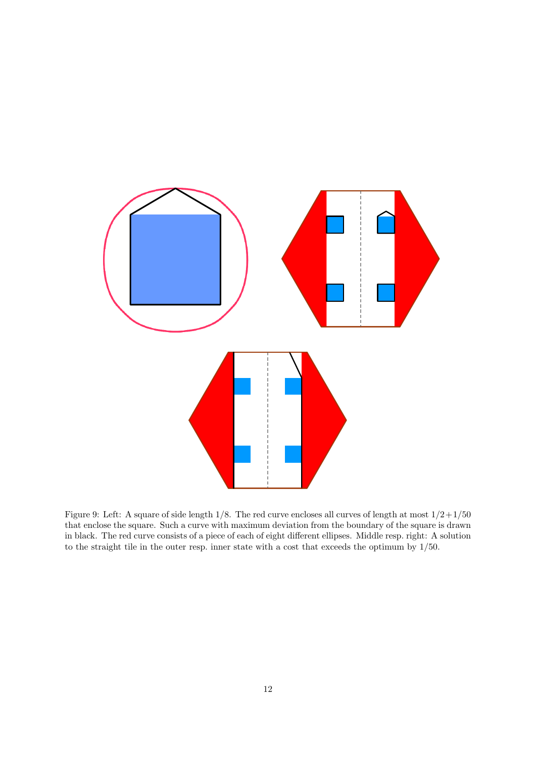<span id="page-11-0"></span>

Figure 9: Left: A square of side length  $1/8$ . The red curve encloses all curves of length at most  $1/2+1/50$ that enclose the square. Such a curve with maximum deviation from the boundary of the square is drawn in black. The red curve consists of a piece of each of eight different ellipses. Middle resp. right: A solution to the straight tile in the outer resp. inner state with a cost that exceeds the optimum by 1/50.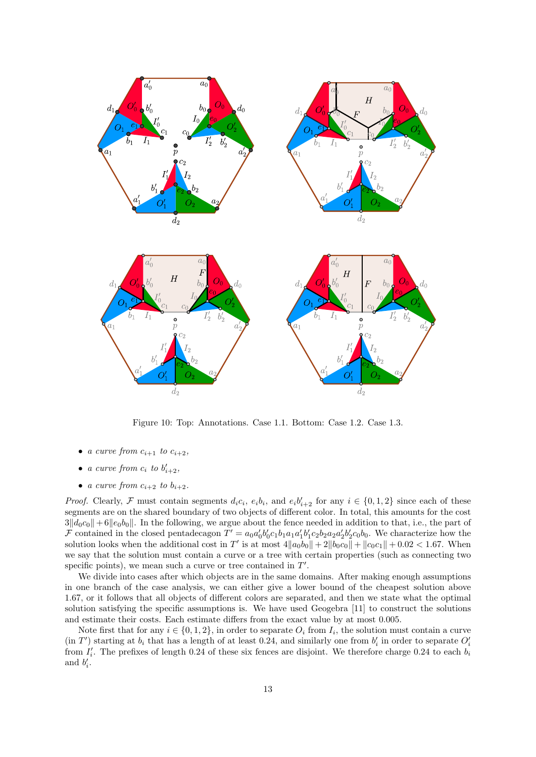<span id="page-12-0"></span>

Figure 10: Top: Annotations. Case 1.1. Bottom: Case 1.2. Case 1.3.

- a curve from  $c_{i+1}$  to  $c_{i+2}$ ,
- a curve from  $c_i$  to  $b'_{i+2}$ ,
- a curve from  $c_{i+2}$  to  $b_{i+2}$ .

*Proof.* Clearly, F must contain segments  $d_i c_i$ ,  $e_i b_i$ , and  $e_i b'_{i+2}$  for any  $i \in \{0, 1, 2\}$  since each of these segments are on the shared boundary of two objects of different color. In total, this amounts for the cost  $3\|d_0c_0\|+6\|e_0b_0\|$ . In the following, we argue about the fence needed in addition to that, i.e., the part of  $\mathcal F$  contained in the closed pentadecagon  $T' = a_0 a'_0 b'_0 c_1 b_1 a_1 a'_1 b'_1 c_2 b_2 a_2 a'_2 b'_2 c_0 b_0$ . We characterize how the solution looks when the additional cost in T' is at most  $4||a_0b_0|| + 2||b_0c_0|| + ||c_0c_1|| + 0.02 < 1.67$ . When we say that the solution must contain a curve or a tree with certain properties (such as connecting two specific points), we mean such a curve or tree contained in  $T'$ .

We divide into cases after which objects are in the same domains. After making enough assumptions in one branch of the case analysis, we can either give a lower bound of the cheapest solution above 1.67, or it follows that all objects of different colors are separated, and then we state what the optimal solution satisfying the specific assumptions is. We have used Geogebra [\[11\]](#page-23-4) to construct the solutions and estimate their costs. Each estimate differs from the exact value by at most 0.005.

Note first that for any  $i \in \{0, 1, 2\}$ , in order to separate  $O_i$  from  $I_i$ , the solution must contain a curve  $(in T')$  starting at  $b_i$  that has a length of at least 0.24, and similarly one from  $b'_i$  in order to separate  $O'_i$ from  $I_i'$ . The prefixes of length 0.24 of these six fences are disjoint. We therefore charge 0.24 to each  $b_i$ and  $b_i'$ .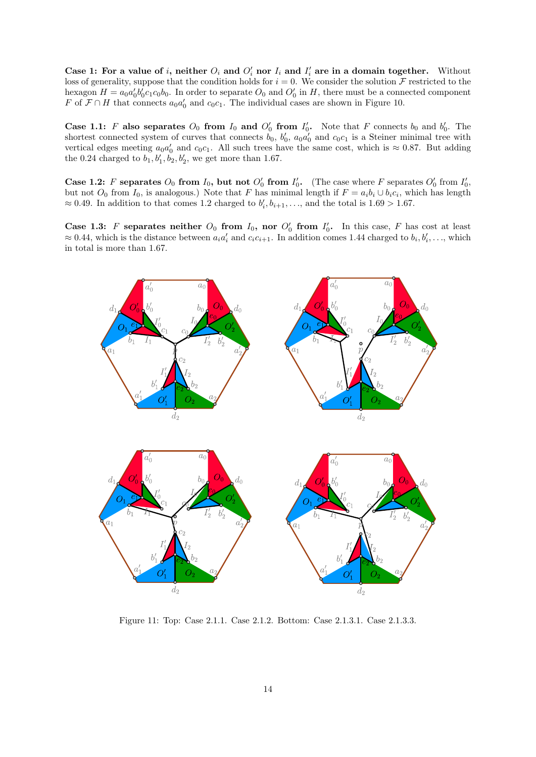Case 1: For a value of i, neither  $O_i$  and  $O'_i$  nor  $I_i$  and  $I'_i$  are in a domain together. Without loss of generality, suppose that the condition holds for  $i = 0$ . We consider the solution F restricted to the hexagon  $H = a_0 a'_0 b'_0 c_1 c_0 b_0$ . In order to separate  $O_0$  and  $O'_0$  in H, there must be a connected component F of  $\mathcal{F} \cap H$  that connects  $a_0 a'_0$  and  $c_0 c_1$ . The individual cases are shown in Figure [10.](#page-12-0)

Case 1.1: F also separates  $O_0$  from  $I_0$  and  $O'_0$  from  $I'_0$ . Note that F connects  $b_0$  and  $b'_0$ . The shortest connected system of curves that connects  $b_0$ ,  $b'_0$ ,  $a_0a'_0$  and  $c_0c_1$  is a Steiner minimal tree with vertical edges meeting  $a_0a'_0$  and  $c_0c_1$ . All such trees have the same cost, which is  $\approx 0.87$ . But adding the 0.24 charged to  $b_1, b'_1, b_2, b'_2$ , we get more than 1.67.

Case 1.2: F separates  $O_0$  from  $I_0$ , but not  $O'_0$  from  $I'_0$ . (The case where F separates  $O'_0$  from  $I'_0$ , but not  $O_0$  from  $I_0$ , is analogous.) Note that F has minimal length if  $F = a_i b_i \cup b_i c_i$ , which has length  $\approx 0.49$ . In addition to that comes 1.2 charged to  $b'_i, b_{i+1}, \ldots$ , and the total is  $1.69 > 1.67$ .

Case 1.3: F separates neither  $O_0$  from  $I_0$ , nor  $O'_0$  from  $I'_0$ . In this case, F has cost at least  $\approx 0.44$ , which is the distance between  $a_i a'_i$  and  $c_i c_{i+1}$ . In addition comes 1.44 charged to  $b_i, b'_i, \ldots$ , which in total is more than 1.67.

<span id="page-13-0"></span>

Figure 11: Top: Case 2.1.1. Case 2.1.2. Bottom: Case 2.1.3.1. Case 2.1.3.3.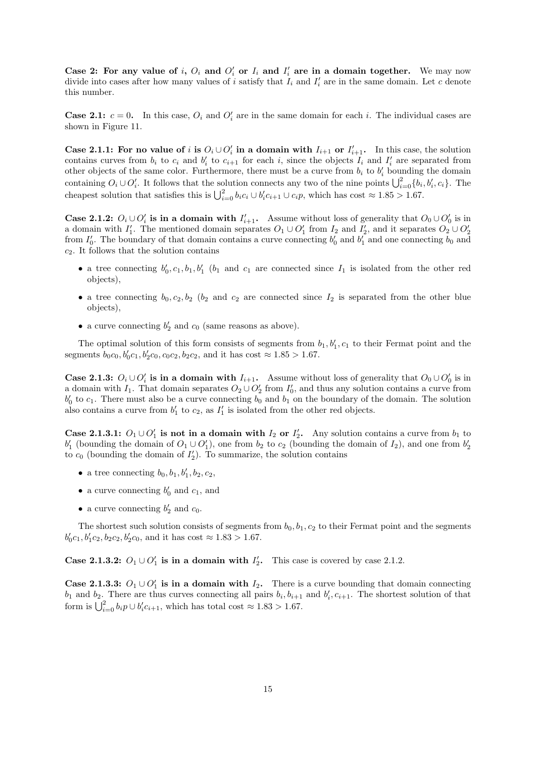Case 2: For any value of i,  $O_i$  and  $O'_i$  or  $I_i$  and  $I'_i$  are in a domain together. We may now divide into cases after how many values of i satisfy that  $I_i$  and  $I'_i$  are in the same domain. Let c denote this number.

**Case 2.1:**  $c = 0$ . In this case,  $O_i$  and  $O'_i$  are in the same domain for each i. The individual cases are shown in Figure [11.](#page-13-0)

Case 2.1.1: For no value of i is  $O_i \cup O'_i$  in a domain with  $I_{i+1}$  or  $I'_{i+1}$ . In this case, the solution contains curves from  $b_i$  to  $c_i$  and  $b'_i$  to  $c_{i+1}$  for each i, since the objects  $I_i$  and  $I'_i$  are separated from other objects of the same color. Furthermore, there must be a curve from  $b_i$  to  $b'_i$  bounding the domain containing  $O_i \cup O'_i$ . It follows that the solution connects any two of the nine points  $\bigcup_{i=0}^2 \{b_i, b'_i, c_i\}$ . The cheapest solution that satisfies this is  $\bigcup_{i=0}^{2} b_i c_i \cup b'_i c_{i+1} \cup c_i p$ , which has cost  $\approx 1.85 > 1.67$ .

Case 2.1.2:  $O_i \cup O'_i$  is in a domain with  $I'_{i+1}$ . Assume without loss of generality that  $O_0 \cup O'_0$  is in a domain with  $I'_1$ . The mentioned domain separates  $O_1 \cup O'_1$  from  $I_2$  and  $I'_2$ , and it separates  $O_2 \cup O'_2$ from  $I'_0$ . The boundary of that domain contains a curve connecting  $b'_0$  and  $b'_1$  and one connecting  $b_0$  and  $c_2$ . It follows that the solution contains

- a tree connecting  $b'_0, c_1, b_1, b'_1$  ( $b_1$  and  $c_1$  are connected since  $I_1$  is isolated from the other red objects),
- a tree connecting  $b_0, c_2, b_2$  ( $b_2$  and  $c_2$  are connected since  $I_2$  is separated from the other blue objects),
- a curve connecting  $b'_2$  and  $c_0$  (same reasons as above).

The optimal solution of this form consists of segments from  $b_1, b'_1, c_1$  to their Fermat point and the segments  $b_0c_0$ ,  $b'_0c_1$ ,  $b'_2c_0$ ,  $c_0c_2$ ,  $b_2c_2$ , and it has cost  $\approx 1.85 > 1.67$ .

Case 2.1.3:  $O_i \cup O'_i$  is in a domain with  $I_{i+1}$ . Assume without loss of generality that  $O_0 \cup O'_0$  is in a domain with  $I_1$ . That domain separates  $O_2 \cup O'_2$  from  $I'_0$ , and thus any solution contains a curve from  $b'_0$  to  $c_1$ . There must also be a curve connecting  $b_0$  and  $b_1$  on the boundary of the domain. The solution also contains a curve from  $b'_1$  to  $c_2$ , as  $I'_1$  is isolated from the other red objects.

Case 2.1.3.1:  $O_1 \cup O'_1$  is not in a domain with  $I_2$  or  $I'_2$ . Any solution contains a curve from  $b_1$  to  $b'_1$  (bounding the domain of  $O_1 \cup O'_1$ ), one from  $b_2$  to  $c_2$  (bounding the domain of  $I_2$ ), and one from  $b'_2$ to  $c_0$  (bounding the domain of  $I'_2$ ). To summarize, the solution contains

- a tree connecting  $b_0, b_1, b'_1, b_2, c_2$ ,
- a curve connecting  $b'_0$  and  $c_1$ , and
- a curve connecting  $b'_2$  and  $c_0$ .

The shortest such solution consists of segments from  $b_0, b_1, c_2$  to their Fermat point and the segments  $b'_0c_1, b'_1c_2, b_2c_2, b'_2c_0$ , and it has cost  $\approx 1.83 > 1.67$ .

Case 2.1.3.2:  $O_1 \cup O'_1$  is in a domain with  $I'_2$ . This case is covered by case 2.1.2.

Case 2.1.3.3:  $O_1 \cup O'_1$  is in a domain with  $I_2$ . There is a curve bounding that domain connecting  $b_1$  and  $b_2$ . There are thus curves connecting all pairs  $b_i, b_{i+1}$  and  $b'_i, c_{i+1}$ . The shortest solution of that form is  $\bigcup_{i=0}^{2} b_i p \cup b_i' c_{i+1}$ , which has total cost  $\approx 1.83 > 1.67$ .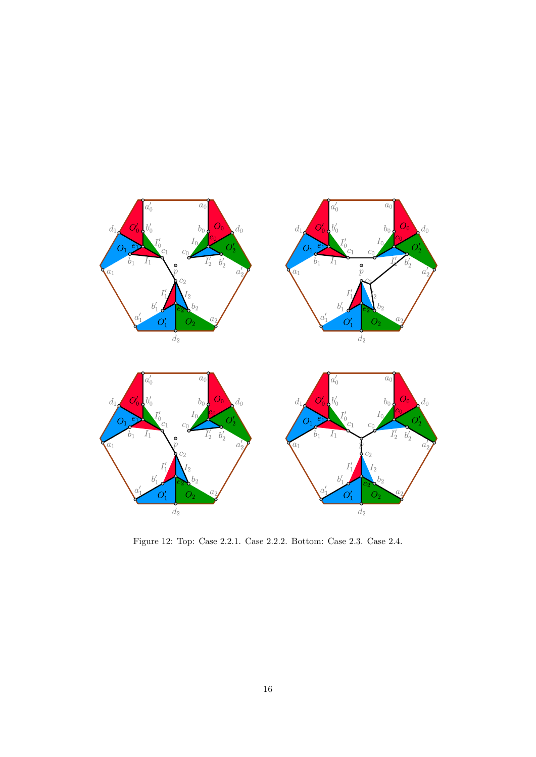<span id="page-15-0"></span>

Figure 12: Top: Case 2.2.1. Case 2.2.2. Bottom: Case 2.3. Case 2.4.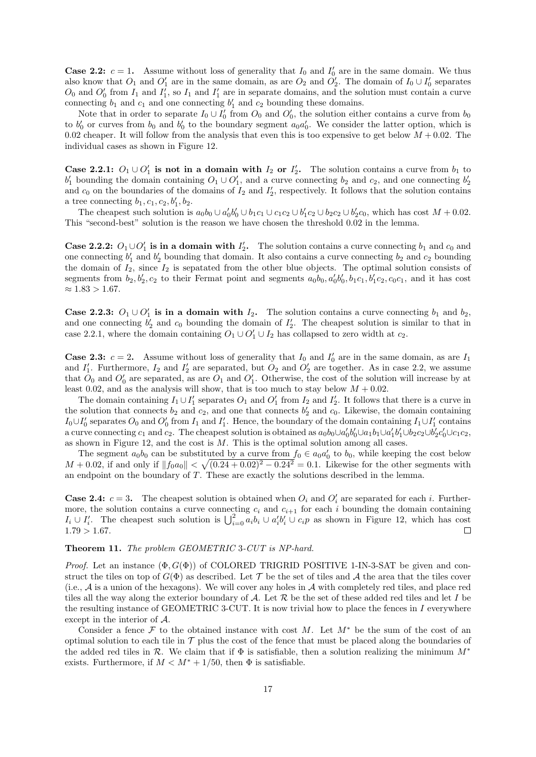**Case 2.2:**  $c = 1$ . Assume without loss of generality that  $I_0$  and  $I'_0$  are in the same domain. We thus also know that  $O_1$  and  $O'_1$  are in the same domain, as are  $O_2$  and  $O'_2$ . The domain of  $I_0 \cup I'_0$  separates  $O_0$  and  $O'_0$  from  $I_1$  and  $I'_1$ , so  $I_1$  and  $I'_1$  are in separate domains, and the solution must contain a curve connecting  $b_1$  and  $c_1$  and one connecting  $b'_1$  and  $c_2$  bounding these domains.

Note that in order to separate  $I_0 \cup I'_0$  from  $O_0$  and  $O'_0$ , the solution either contains a curve from  $b_0$ to  $b'_0$  or curves from  $b_0$  and  $b'_0$  to the boundary segment  $a_0a'_0$ . We consider the latter option, which is 0.02 cheaper. It will follow from the analysis that even this is too expensive to get below  $M + 0.02$ . The individual cases as shown in Figure [12.](#page-15-0)

Case 2.2.1:  $O_1 \cup O'_1$  is not in a domain with  $I_2$  or  $I'_2$ . The solution contains a curve from  $b_1$  to  $b'_1$  bounding the domain containing  $O_1 \cup O'_1$ , and a curve connecting  $b_2$  and  $c_2$ , and one connecting  $b'_2$ and  $c_0$  on the boundaries of the domains of  $I_2$  and  $I'_2$ , respectively. It follows that the solution contains a tree connecting  $b_1, c_1, c_2, b'_1, b_2$ .

The cheapest such solution is  $a_0b_0 \cup a'_0b'_0 \cup b_1c_1 \cup c_1c_2 \cup b'_1c_2 \cup b_2c_2 \cup b'_2c_0$ , which has cost  $M + 0.02$ . This "second-best" solution is the reason we have chosen the threshold 0.02 in the lemma.

**Case 2.2.2:**  $O_1 \cup O'_1$  is in a domain with  $I'_2$ . The solution contains a curve connecting  $b_1$  and  $c_0$  and one connecting  $b'_1$  and  $b'_2$  bounding that domain. It also contains a curve connecting  $b_2$  and  $c_2$  bounding the domain of  $I_2$ , since  $I_2$  is sepatated from the other blue objects. The optimal solution consists of segments from  $b_2, b'_2, c_2$  to their Fermat point and segments  $a_0b_0, a'_0b'_0, b_1c_1, b'_1c_2, c_0c_1$ , and it has cost  $≈ 1.83 > 1.67.$ 

Case 2.2.3:  $O_1 \cup O'_1$  is in a domain with  $I_2$ . The solution contains a curve connecting  $b_1$  and  $b_2$ , and one connecting  $b'_2$  and  $c_0$  bounding the domain of  $I'_2$ . The cheapest solution is similar to that in case 2.2.1, where the domain containing  $O_1 \cup O'_1 \cup I_2$  has collapsed to zero width at  $c_2$ .

**Case 2.3:**  $c = 2$ . Assume without loss of generality that  $I_0$  and  $I'_0$  are in the same domain, as are  $I_1$ and  $I'_1$ . Furthermore,  $I_2$  and  $I'_2$  are separated, but  $O_2$  and  $O'_2$  are together. As in case 2.2, we assume that  $O_0$  and  $O'_0$  are separated, as are  $O_1$  and  $O'_1$ . Otherwise, the cost of the solution will increase by at least 0.02, and as the analysis will show, that is too much to stay below  $M + 0.02$ .

The domain containing  $I_1 \cup I'_1$  separates  $O_1$  and  $O'_1$  from  $I_2$  and  $I'_2$ . It follows that there is a curve in the solution that connects  $b_2$  and  $c_2$ , and one that connects  $b'_2$  and  $c_0$ . Likewise, the domain containing  $I_0 \cup I'_0$  separates  $O_0$  and  $O'_0$  from  $I_1$  and  $I'_1$ . Hence, the boundary of the domain containing  $I_1 \cup I'_1$  contains a curve connecting  $c_1$  and  $c_2$ . The cheapest solution is obtained as  $a_0b_0\cup a'_0b'_0\cup a_1b_1\cup a'_1b'_1\cup b_2c_2\cup b'_2c'_0\cup c_1c_2$ , as shown in Figure [12,](#page-15-0) and the cost is  $M$ . This is the optimal solution among all cases.

The segment  $a_0b_0$  can be substituted by a curve from  $f_0 \in a_0a'_0$  to  $b_0$ , while keeping the cost below  $M + 0.02$ , if and only if  $||f_0a_0|| < \sqrt{(0.24 + 0.02)^2 - 0.24^2} = 0.1$ . Likewise for the other segments with an endpoint on the boundary of T. These are exactly the solutions described in the lemma.

**Case 2.4:**  $c = 3$ . The cheapest solution is obtained when  $O_i$  and  $O'_i$  are separated for each i. Furthermore, the solution contains a curve connecting  $c_i$  and  $c_{i+1}$  for each i bounding the domain containing  $I_i \cup I'_i$ . The cheapest such solution is  $\bigcup_{i=0}^2 a_i b_i \cup a'_i b'_i \cup c_i p$  as shown in Figure [12,](#page-15-0) which has cost  $1.79 > 1.67$ .  $\Box$ 

#### Theorem 11. The problem GEOMETRIC 3-CUT is NP-hard.

*Proof.* Let an instance  $(\Phi, G(\Phi))$  of COLORED TRIGRID POSITIVE 1-IN-3-SAT be given and construct the tiles on top of  $G(\Phi)$  as described. Let T be the set of tiles and A the area that the tiles cover (i.e., A is a union of the hexagons). We will cover any holes in A with completely red tiles, and place red tiles all the way along the exterior boundary of A. Let  $\mathcal R$  be the set of these added red tiles and let I be the resulting instance of GEOMETRIC 3-CUT. It is now trivial how to place the fences in I everywhere except in the interior of A.

Consider a fence F to the obtained instance with cost M. Let  $M^*$  be the sum of the cost of an optimal solution to each tile in  $\mathcal T$  plus the cost of the fence that must be placed along the boundaries of the added red tiles in  $\mathcal R$ . We claim that if  $\Phi$  is satisfiable, then a solution realizing the minimum  $M^*$ exists. Furthermore, if  $M < M^* + 1/50$ , then  $\Phi$  is satisfiable.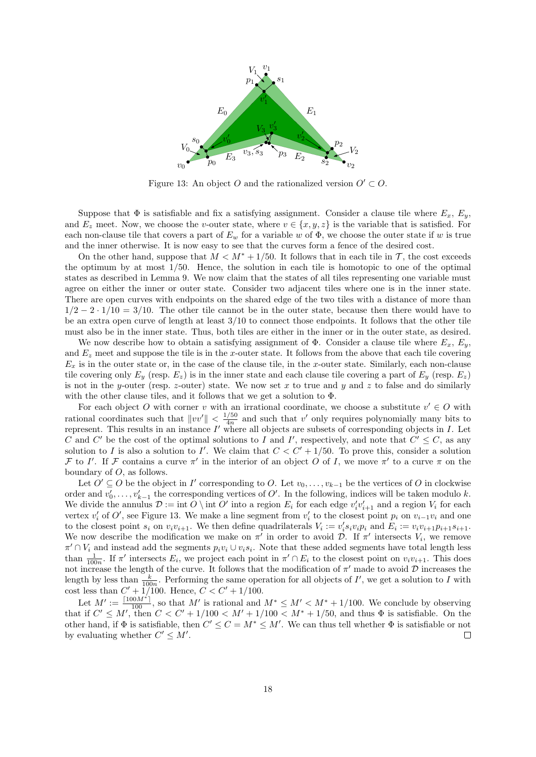<span id="page-17-0"></span>

Figure 13: An object O and the rationalized version  $O' \subset O$ .

Suppose that  $\Phi$  is satisfiable and fix a satisfying assignment. Consider a clause tile where  $E_x$ ,  $E_y$ , and  $E_z$  meet. Now, we choose the v-outer state, where  $v \in \{x, y, z\}$  is the variable that is satisfied. For each non-clause tile that covers a part of  $E_w$  for a variable w of  $\Phi$ , we choose the outer state if w is true and the inner otherwise. It is now easy to see that the curves form a fence of the desired cost.

On the other hand, suppose that  $M < M^* + 1/50$ . It follows that in each tile in T, the cost exceeds the optimum by at most 1/50. Hence, the solution in each tile is homotopic to one of the optimal states as described in Lemma [9.](#page-8-0) We now claim that the states of all tiles representing one variable must agree on either the inner or outer state. Consider two adjacent tiles where one is in the inner state. There are open curves with endpoints on the shared edge of the two tiles with a distance of more than  $1/2 - 2 \cdot 1/10 = 3/10$ . The other tile cannot be in the outer state, because then there would have to be an extra open curve of length at least  $3/10$  to connect those endpoints. It follows that the other tile must also be in the inner state. Thus, both tiles are either in the inner or in the outer state, as desired.

We now describe how to obtain a satisfying assignment of  $\Phi$ . Consider a clause tile where  $E_x$ ,  $E_y$ , and  $E_z$  meet and suppose the tile is in the x-outer state. It follows from the above that each tile covering  $E_x$  is in the outer state or, in the case of the clause tile, in the x-outer state. Similarly, each non-clause tile covering only  $E_y$  (resp.  $E_z$ ) is in the inner state and each clause tile covering a part of  $E_y$  (resp.  $E_z$ ) is not in the y-outer (resp. z-outer) state. We now set x to true and y and z to false and do similarly with the other clause tiles, and it follows that we get a solution to Φ.

For each object O with corner v with an irrational coordinate, we choose a substitute  $v' \in O$  with rational coordinates such that  $||vv'|| < \frac{1/50}{4v}$  $\frac{150}{4n}$  and such that v' only requires polynomially many bits to represent. This results in an instance  $I'$  where all objects are subsets of corresponding objects in  $I$ . Let C and C' be the cost of the optimal solutions to I and I', respectively, and note that  $C' \leq C$ , as any solution to I is also a solution to I'. We claim that  $C < C' + 1/50$ . To prove this, consider a solution F to I'. If F contains a curve  $\pi'$  in the interior of an object O of I, we move  $\pi'$  to a curve  $\pi$  on the boundary of O, as follows.

Let  $O' \subseteq O$  be the object in I' corresponding to O. Let  $v_0, \ldots, v_{k-1}$  be the vertices of O in clockwise order and  $v'_0, \ldots, v'_{k-1}$  the corresponding vertices of  $O'$ . In the following, indices will be taken modulo k. We divide the annulus  $\mathcal{D} := \text{int } O \setminus \text{int } O'$  into a region  $E_i$  for each edge  $v'_i v'_{i+1}$  and a region  $V_i$  for each vertex  $v'_i$  of  $O'$ , see Figure [13.](#page-17-0) We make a line segment from  $v'_i$  to the closest point  $p_i$  on  $v_{i-1}v_i$  and one to the closest point  $s_i$  on  $v_i v_{i+1}$ . We then define quadrilaterals  $V_i := v_i's_i v_i p_i$  and  $E_i := v_i v_{i+1} p_{i+1} s_{i+1}$ . We now describe the modification we make on  $\pi'$  in order to avoid  $\mathcal{D}$ . If  $\pi'$  intersects  $V_i$ , we remove  $\pi' \cap V_i$  and instead add the segments  $p_i v_i \cup v_i s_i$ . Note that these added segments have total length less than  $\frac{1}{100n}$ . If  $\pi'$  intersects  $E_i$ , we project each point in  $\pi' \cap E_i$  to the closest point on  $v_i v_{i+1}$ . This does not increase the length of the curve. It follows that the modification of  $\pi'$  made to avoid  $\mathcal D$  increases the length by less than  $\frac{k}{100n}$ . Performing the same operation for all objects of I', we get a solution to I with cost less than  $C' + 1/100$ . Hence,  $C < C' + 1/100$ .

Let  $M' := \frac{\lceil 100M^* \rceil}{100}$ , so that M' is rational and  $M^* \leq M' < M^* + 1/100$ . We conclude by observing that if  $C' \leq M'$ , then  $C < C' + 1/100 < M' + 1/100 < M^* + 1/50$ , and thus  $\Phi$  is satisfiable. On the other hand, if  $\Phi$  is satisfiable, then  $C' \leq C = M^* \leq M'$ . We can thus tell whether  $\Phi$  is satisfiable or not by evaluating whether  $C' \leq M'$ .  $\Box$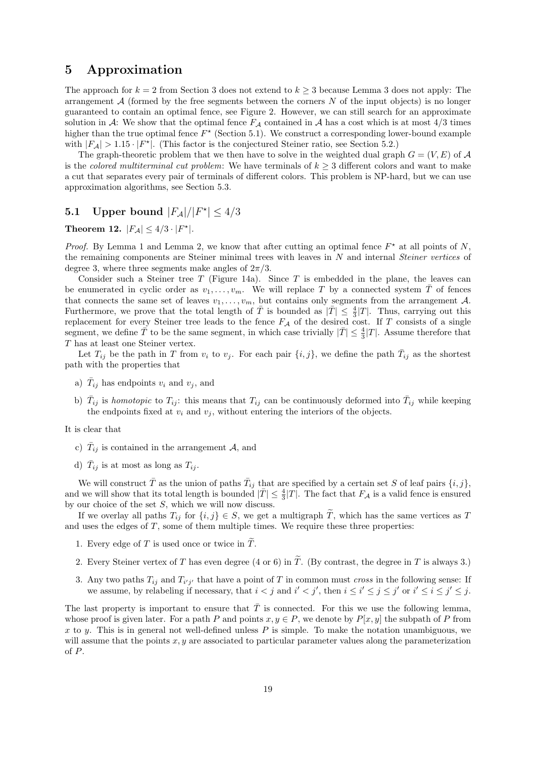## <span id="page-18-0"></span>5 Approximation

The approach for  $k = 2$  from Section [3](#page-3-3) does not extend to  $k \geq 3$  because Lemma 3 does not apply: The arrangement  $A$  (formed by the free segments between the corners  $N$  of the input objects) is no longer guaranteed to contain an optimal fence, see Figure [2.](#page-1-1) However, we can still search for an approximate solution in A: We show that the optimal fence  $F_A$  contained in A has a cost which is at most 4/3 times higher than the true optimal fence  $F^*$  (Section [5.1\)](#page-18-1). We construct a corresponding lower-bound example with  $|F_A| > 1.15 \cdot |F^*|$ . (This factor is the conjectured Steiner ratio, see Section [5.2.](#page-21-0))

The graph-theoretic problem that we then have to solve in the weighted dual graph  $G = (V, E)$  of A is the colored multiterminal cut problem: We have terminals of  $k \geq 3$  different colors and want to make a cut that separates every pair of terminals of different colors. This problem is NP-hard, but we can use approximation algorithms, see Section [5.3.](#page-22-6)

# <span id="page-18-1"></span>**5.1** Upper bound  $|F_A|/|F^*| \leq 4/3$

<span id="page-18-4"></span>Theorem 12.  $|F_A| \leq 4/3 \cdot |F^*|$ .

*Proof.* By Lemma [1](#page-2-1) and Lemma [2,](#page-2-0) we know that after cutting an optimal fence  $F^*$  at all points of N, the remaining components are Steiner minimal trees with leaves in N and internal Steiner vertices of degree 3, where three segments make angles of  $2\pi/3$ .

Consider such a Steiner tree  $T$  (Figure [14a](#page-19-0)). Since  $T$  is embedded in the plane, the leaves can be enumerated in cyclic order as  $v_1, \ldots, v_m$ . We will replace T by a connected system  $\overline{T}$  of fences that connects the same set of leaves  $v_1, \ldots, v_m$ , but contains only segments from the arrangement A. Furthermore, we prove that the total length of  $\overline{T}$  is bounded as  $|\overline{T}| \leq \frac{4}{3}|T|$ . Thus, carrying out this replacement for every Steiner tree leads to the fence  $F_A$  of the desired cost. If T consists of a single segment, we define  $\overline{T}$  to be the same segment, in which case trivially  $|\overline{T}| \leq \frac{4}{3}|T|$ . Assume therefore that T has at least one Steiner vertex.

Let  $T_{ij}$  be the path in T from  $v_i$  to  $v_j$ . For each pair  $\{i, j\}$ , we define the path  $\bar{T}_{ij}$  as the shortest path with the properties that

- a)  $\bar{T}_{ij}$  has endpoints  $v_i$  and  $v_j$ , and
- b)  $\bar{T}_{ij}$  is *homotopic* to  $T_{ij}$ : this means that  $T_{ij}$  can be continuously deformed into  $\bar{T}_{ij}$  while keeping the endpoints fixed at  $v_i$  and  $v_j$ , without entering the interiors of the objects.

It is clear that

- c)  $\bar{T}_{ij}$  is contained in the arrangement A, and
- d)  $\bar{T}_{ij}$  is at most as long as  $T_{ij}$ .

We will construct  $\bar{T}$  as the union of paths  $\bar{T}_{ij}$  that are specified by a certain set S of leaf pairs  $\{i, j\}$ , and we will show that its total length is bounded  $|\bar{T}| \leq \frac{4}{3}|T|$ . The fact that  $F_{\mathcal{A}}$  is a valid fence is ensured by our choice of the set  $S$ , which we will now discuss.

If we overlay all paths  $T_{ij}$  for  $\{i, j\} \in S$ , we get a multigraph  $\widetilde{T}$ , which has the same vertices as T and uses the edges of T, some of them multiple times. We require these three properties:

- <span id="page-18-3"></span>1. Every edge of T is used once or twice in  $\widetilde{T}$ .
- <span id="page-18-5"></span>2. Every Steiner vertex of T has even degree (4 or 6) in  $\widetilde{T}$ . (By contrast, the degree in T is always 3.)
- <span id="page-18-2"></span>3. Any two paths  $T_{ij}$  and  $T_{i'j'}$  that have a point of T in common must cross in the following sense: If we assume, by relabeling if necessary, that  $i < j$  and  $i' < j'$ , then  $i \leq i' \leq j \leq j'$  or  $i' \leq i \leq j' \leq j$ .

The last property is important to ensure that  $\overline{T}$  is connected. For this we use the following lemma, whose proof is given later. For a path P and points  $x, y \in P$ , we denote by  $P[x, y]$  the subpath of P from x to y. This is in general not well-defined unless  $P$  is simple. To make the notation unambiguous, we will assume that the points  $x, y$  are associated to particular parameter values along the parameterization of P.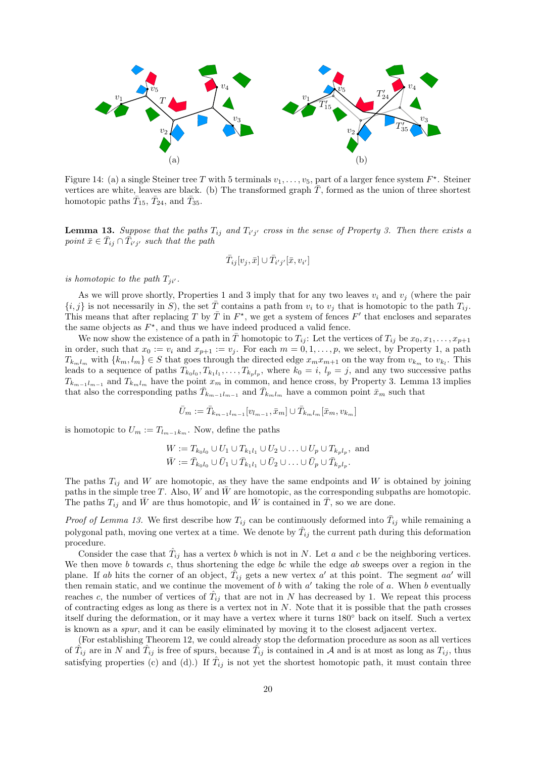<span id="page-19-0"></span>

Figure 14: (a) a single Steiner tree T with 5 terminals  $v_1, \ldots, v_5$ , part of a larger fence system  $F^*$ . Steiner vertices are white, leaves are black. (b) The transformed graph  $\overline{T}$ , formed as the union of three shortest homotopic paths  $\bar{T}_{15}$ ,  $\bar{T}_{24}$ , and  $\bar{T}_{35}$ .

<span id="page-19-1"></span>**Lemma 13.** Suppose that the paths  $T_{ij}$  and  $T_{i'j'}$  cross in the sense of Property [3.](#page-18-2) Then there exists a point  $\bar{x} \in \bar{T}_{ij} \cap \bar{T}_{i'j'}$  such that the path

$$
\bar{T}_{ij}[v_j, \bar{x}] \cup \bar{T}_{i'j'}[\bar{x}, v_{i'}]
$$

is homotopic to the path  $T_{ji'}$ .

As we will prove shortly, Properties [1](#page-18-3) and [3](#page-18-2) imply that for any two leaves  $v_i$  and  $v_j$  (where the pair  ${i, j}$  is not necessarily in S), the set  $\overline{T}$  contains a path from  $v_i$  to  $v_j$  that is homotopic to the path  $T_{ij}$ . This means that after replacing T by  $\overline{T}$  in  $F^*$ , we get a system of fences  $F'$  that encloses and separates the same objects as  $F^*$ , and thus we have indeed produced a valid fence.

We now show the existence of a path in  $\overline{T}$  homotopic to  $T_{ij}$ : Let the vertices of  $T_{ij}$  be  $x_0, x_1, \ldots, x_{p+1}$ in order, such that  $x_0 := v_i$  and  $x_{p+1} := v_j$ . For each  $m = 0, 1, \ldots, p$  $m = 0, 1, \ldots, p$  $m = 0, 1, \ldots, p$ , we select, by Property 1, a path  $T_{k_m l_m}$  with  $\{k_m, l_m\} \in S$  that goes through the directed edge  $x_m x_{m+1}$  on the way from  $v_{k_m}$  to  $v_{k_l}$ . This leads to a sequence of paths  $T_{k_0l_0}, T_{k_1l_1}, \ldots, T_{kpl_p}$ , where  $k_0 = i$ ,  $l_p = j$ , and any two successive paths  $T_{k_{m-1}l_{m-1}}$  and  $T_{k_{m}l_{m}}$  have the point  $x_{m}$  in common, and hence cross, by Property [3.](#page-18-2) Lemma [13](#page-19-1) implies that also the corresponding paths  $\bar{T}_{k_{m-1}l_{m-1}}$  and  $\bar{T}_{k_{m}l_{m}}$  have a common point  $\bar{x}_{m}$  such that

$$
\bar{U}_m := \bar{T}_{k_{m-1}l_{m-1}}[v_{l_{m-1}}, \bar{x}_m] \cup \bar{T}_{k_ml_m}[\bar{x}_m, v_{k_m}]
$$

is homotopic to  $U_m := T_{l_{m-1}k_m}$ . Now, define the paths

$$
W := T_{k_0l_0} \cup U_1 \cup T_{k_1l_1} \cup U_2 \cup \ldots \cup U_p \cup T_{k_pl_p}, \text{ and}
$$
  

$$
\overline{W} := \overline{T}_{k_0l_0} \cup \overline{U}_1 \cup \overline{T}_{k_1l_1} \cup \overline{U}_2 \cup \ldots \cup \overline{U}_p \cup \overline{T}_{k_pl_p}.
$$

The paths  $T_{ij}$  and W are homotopic, as they have the same endpoints and W is obtained by joining paths in the simple tree T. Also, W and  $\bar{W}$  are homotopic, as the corresponding subpaths are homotopic. The paths  $T_{ij}$  and  $\bar{W}$  are thus homotopic, and  $\bar{W}$  is contained in  $\bar{T}$ , so we are done.

*Proof of Lemma [13.](#page-19-1)* We first describe how  $T_{ij}$  can be continuously deformed into  $\bar{T}_{ij}$  while remaining a polygonal path, moving one vertex at a time. We denote by  $\hat{T}_{ij}$  the current path during this deformation procedure.

Consider the case that  $\hat{T}_{ij}$  has a vertex b which is not in N. Let a and c be the neighboring vertices. We then move b towards c, thus shortening the edge bc while the edge  $ab$  sweeps over a region in the plane. If ab hits the corner of an object,  $\tilde{T}_{ij}$  gets a new vertex a' at this point. The segment aa' will then remain static, and we continue the movement of  $b$  with  $a'$  taking the role of  $a$ . When  $b$  eventually reaches c, the number of vertices of  $\hat{T}_{ij}$  that are not in N has decreased by 1. We repeat this process of contracting edges as long as there is a vertex not in  $N$ . Note that it is possible that the path crosses itself during the deformation, or it may have a vertex where it turns 180◦ back on itself. Such a vertex is known as a spur, and it can be easily eliminated by moving it to the closest adjacent vertex.

(For establishing Theorem [12,](#page-18-4) we could already stop the deformation procedure as soon as all vertices of  $\hat{T}_{ij}$  are in N and  $\hat{T}_{ij}$  is free of spurs, because  $\hat{T}_{ij}$  is contained in A and is at most as long as  $T_{ij}$ , thus satisfying properties (c) and (d).) If  $\hat{T}_{ij}$  is not yet the shortest homotopic path, it must contain three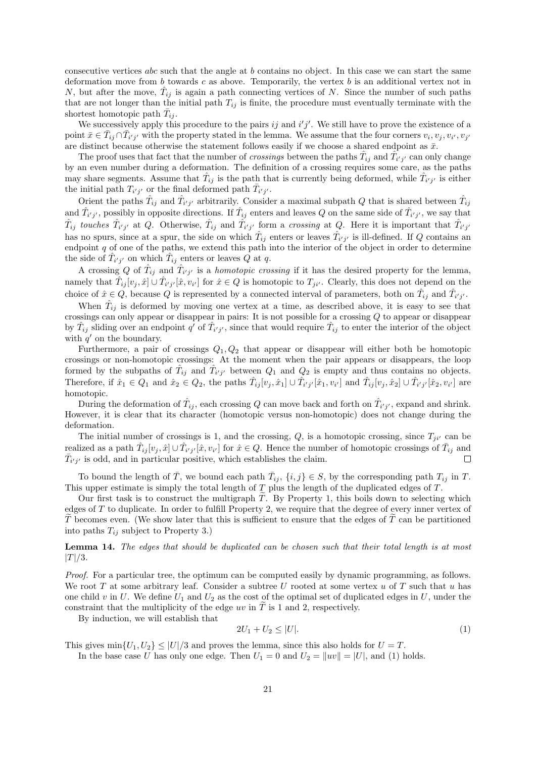consecutive vertices abc such that the angle at b contains no object. In this case we can start the same deformation move from b towards c as above. Temporarily, the vertex b is an additional vertex not in N, but after the move,  $\hat{T}_{ij}$  is again a path connecting vertices of N. Since the number of such paths that are not longer than the initial path  $T_{ij}$  is finite, the procedure must eventually terminate with the shortest homotopic path  $\bar{T}_{ij}$ .

We successively apply this procedure to the pairs  $ij$  and  $i'j'$ . We still have to prove the existence of a point  $\bar{x} \in \bar{T}_{ij} \cap \bar{T}_{i'j'}$  with the property stated in the lemma. We assume that the four corners  $v_i, v_j, v_{i'}, v_{j'}$ are distinct because otherwise the statement follows easily if we choose a shared endpoint as  $\bar{x}$ .

The proof uses that fact that the number of *crossings* between the paths  $\hat{T}_{ij}$  and  $\hat{T}_{i'j'}$  can only change by an even number during a deformation. The definition of a crossing requires some care, as the paths may share segments. Assume that  $\hat{T}_{ij}$  is the path that is currently being deformed, while  $\hat{T}_{i'j'}$  is either the initial path  $T_{i'j'}$  or the final deformed path  $\bar{T}_{i'j'}$ .

Orient the paths  $\hat{T}_{ij}$  and  $\hat{T}_{i'j'}$  arbitrarily. Consider a maximal subpath Q that is shared between  $\hat{T}_{ij}$ and  $\hat{T}_{i'j'}$ , possibly in opposite directions. If  $\hat{T}_{ij}$  enters and leaves Q on the same side of  $\hat{T}_{i'j'}$ , we say that  $\hat{T}_{ij}$  touches  $\hat{T}_{i'j'}$  at Q. Otherwise,  $\hat{T}_{ij}$  and  $\hat{T}_{i'j'}$  form a crossing at Q. Here it is important that  $\hat{T}_{i'j'}$ has no spurs, since at a spur, the side on which  $\hat{T}_{ij}$  enters or leaves  $\hat{T}_{i'j'}$  is ill-defined. If Q contains an endpoint  $q$  of one of the paths, we extend this path into the interior of the object in order to determine the side of  $\hat{T}_{i'j'}$  on which  $\hat{T}_{ij}$  enters or leaves  $Q$  at q.

A crossing Q of  $\hat{T}_{ij}$  and  $\hat{T}_{i'j'}$  is a *homotopic crossing* if it has the desired property for the lemma, namely that  $\hat{T}_{ij}[v_j, \hat{x}] \cup \hat{T}_{i'j'}[\hat{x}, v_{i'}]$  for  $\hat{x} \in Q$  is homotopic to  $T_{ji'}$ . Clearly, this does not depend on the choice of  $\hat{x} \in Q$ , because Q is represented by a connected interval of parameters, both on  $\hat{T}_{ij}$  and  $\hat{T}_{i'j'}$ .

When  $\hat{T}_{ij}$  is deformed by moving one vertex at a time, as described above, it is easy to see that crossings can only appear or disappear in pairs: It is not possible for a crossing Q to appear or disappear by  $\hat{T}_{ij}$  sliding over an endpoint q' of  $\hat{T}_{i'j'}$ , since that would require  $\hat{T}_{ij}$  to enter the interior of the object with  $q'$  on the boundary.

Furthermore, a pair of crossings  $Q_1, Q_2$  that appear or disappear will either both be homotopic crossings or non-homotopic crossings: At the moment when the pair appears or disappears, the loop formed by the subpaths of  $\hat{T}_{ij}$  and  $\hat{T}_{i'j'}$  between  $Q_1$  and  $Q_2$  is empty and thus contains no objects. Therefore, if  $\hat{x}_1 \in Q_1$  and  $\hat{x}_2 \in Q_2$ , the paths  $\hat{T}_{ij}[v_j, \hat{x}_1] \cup \hat{T}_{i'j'}[\hat{x}_1, v_{i'}]$  and  $\hat{T}_{ij}[v_j, \hat{x}_2] \cup \hat{T}_{i'j'}[\hat{x}_2, v_{i'}]$  are homotopic.

During the deformation of  $\hat{T}_{ij}$ , each crossing Q can move back and forth on  $\hat{T}_{i'j'}$ , expand and shrink. However, it is clear that its character (homotopic versus non-homotopic) does not change during the deformation.

The initial number of crossings is 1, and the crossing,  $Q$ , is a homotopic crossing, since  $T_{ji'}$  can be realized as a path  $\hat{T}_{ij}[v_j, \hat{x}] \cup \hat{T}_{i'j'}[\hat{x}, v_{i'}]$  for  $\hat{x} \in Q$ . Hence the number of homotopic crossings of  $\bar{T}_{ij}$  and  $\bar{T}_{i'j'}$  is odd, and in particular positive, which establishes the claim.

To bound the length of  $\overline{T}$ , we bound each path  $\overline{T}_{ij}$ ,  $\{i,j\} \in S$ , by the corresponding path  $T_{ij}$  in T. This upper estimate is simply the total length of T plus the length of the duplicated edges of T.

Our first task is to construct the multigraph  $\tilde{T}$ . By Property [1,](#page-18-3) this boils down to selecting which edges of T to duplicate. In order to fulfill Property [2,](#page-18-5) we require that the degree of every inner vertex of  $T$  becomes even. (We show later that this is sufficient to ensure that the edges of  $T$  can be partitioned into paths  $T_{ij}$  subject to Property [3.](#page-18-2))

<span id="page-20-1"></span>Lemma 14. The edges that should be duplicated can be chosen such that their total length is at most  $|T|/3$ .

Proof. For a particular tree, the optimum can be computed easily by dynamic programming, as follows. We root  $T$  at some arbitrary leaf. Consider a subtree  $U$  rooted at some vertex  $u$  of  $T$  such that  $u$  has one child v in U. We define  $U_1$  and  $U_2$  as the cost of the optimal set of duplicated edges in U, under the constraint that the multiplicity of the edge uv in  $\tilde{T}$  is 1 and 2, respectively.

By induction, we will establish that

<span id="page-20-0"></span>
$$
2U_1 + U_2 \le |U|.\t\t(1)
$$

This gives  $\min\{U_1, U_2\} \leq |U|/3$  and proves the lemma, since this also holds for  $U = T$ .

In the base case U has only one edge. Then  $U_1 = 0$  and  $U_2 = ||uv|| = |U|$ , and [\(1\)](#page-20-0) holds.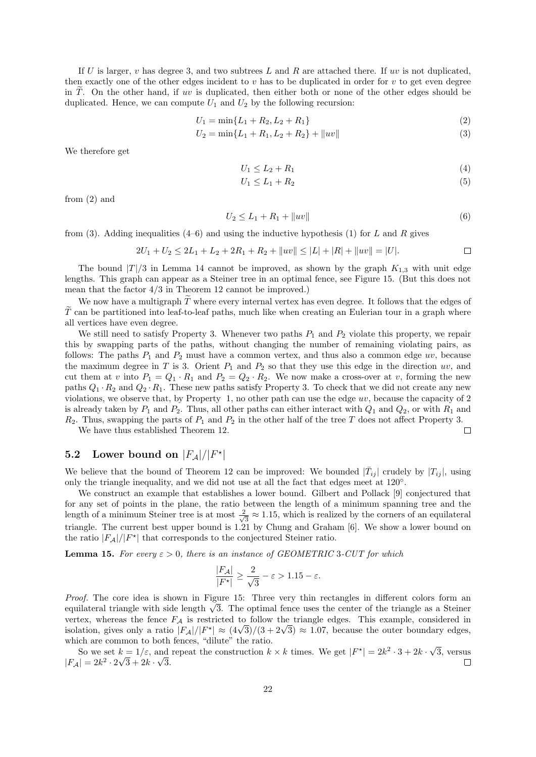If U is larger, v has degree 3, and two subtrees L and R are attached there. If uv is not duplicated, then exactly one of the other edges incident to  $v$  has to be duplicated in order for  $v$  to get even degree in T. On the other hand, if uv is duplicated, then either both or none of the other edges should be duplicated. Hence, we can compute  $U_1$  and  $U_2$  by the following recursion:

$$
U_1 = \min\{L_1 + R_2, L_2 + R_1\} \tag{2}
$$

$$
U_2 = \min\{L_1 + R_1, L_2 + R_2\} + ||uv|| \tag{3}
$$

We therefore get

<span id="page-21-2"></span><span id="page-21-1"></span>
$$
U_1 \le L_2 + R_1 \tag{4}
$$

<span id="page-21-4"></span><span id="page-21-3"></span>
$$
U_1 \le L_1 + R_2 \tag{5}
$$

 $\Box$ 

from [\(2\)](#page-21-1) and

$$
U_2 \le L_1 + R_1 + ||uv|| \tag{6}
$$

from [\(3\)](#page-21-2). Adding inequalities [\(4–](#page-21-3)[6\)](#page-21-4) and using the inductive hypothesis [\(1\)](#page-20-0) for L and R gives

$$
2U_1 + U_2 \le 2L_1 + L_2 + 2R_1 + R_2 + ||uv|| \le |L| + |R| + ||uv|| = |U|.
$$

The bound  $|T|/3$  in Lemma [14](#page-20-1) cannot be improved, as shown by the graph  $K_{1,3}$  with unit edge lengths. This graph can appear as a Steiner tree in an optimal fence, see Figure [15.](#page-22-7) (But this does not mean that the factor 4/3 in Theorem [12](#page-18-4) cannot be improved.)

We now have a multigraph  $\widetilde{T}$  where every internal vertex has even degree. It follows that the edges of  $\tilde{T}$  can be partitioned into leaf-to-leaf paths, much like when creating an Eulerian tour in a graph where all vertices have even degree.

We still need to satisfy Property [3.](#page-18-2) Whenever two paths  $P_1$  and  $P_2$  violate this property, we repair this by swapping parts of the paths, without changing the number of remaining violating pairs, as follows: The paths  $P_1$  and  $P_2$  must have a common vertex, and thus also a common edge uv, because the maximum degree in T is 3. Orient  $P_1$  and  $P_2$  so that they use this edge in the direction uv, and cut them at v into  $P_1 = Q_1 \cdot R_1$  and  $P_2 = Q_2 \cdot R_2$ . We now make a cross-over at v, forming the new paths  $Q_1 \cdot R_2$  and  $Q_2 \cdot R_1$ . These new paths satisfy Property [3.](#page-18-2) To check that we did not create any new violations, we observe that, by Property [1,](#page-18-3) no other path can use the edge  $uv$ , because the capacity of 2 is already taken by  $P_1$  and  $P_2$ . Thus, all other paths can either interact with  $Q_1$  and  $Q_2$ , or with  $R_1$  and  $R_2$ . Thus, swapping the parts of  $P_1$  and  $P_2$  in the other half of the tree T does not affect Property [3.](#page-18-2)

We have thus established Theorem [12.](#page-18-4)

# <span id="page-21-0"></span>5.2 Lower bound on  $|F_{\mathcal{A}}|/|F^{\star}|$

We believe that the bound of Theorem [12](#page-18-4) can be improved: We bounded  $|\bar{T}_{ij}|$  crudely by  $|T_{ij}|$ , using only the triangle inequality, and we did not use at all the fact that edges meet at 120◦ .

We construct an example that establishes a lower bound. Gilbert and Pollack [\[9\]](#page-23-0) conjectured that for any set of points in the plane, the ratio between the length of a minimum spanning tree and the length of a minimum Steiner tree is at most  $\frac{2}{\sqrt{2}}$  $\frac{1}{3} \approx 1.15$ , which is realized by the corners of an equilateral triangle. The current best upper bound is 1.21 by Chung and Graham [\[6\]](#page-22-8). We show a lower bound on the ratio  $|F_A|/|F^*|$  that corresponds to the conjectured Steiner ratio.

<span id="page-21-5"></span>**Lemma 15.** For every  $\varepsilon > 0$ , there is an instance of GEOMETRIC 3-CUT for which

$$
\frac{|F_{\mathcal{A}}|}{|F^\star|} \ge \frac{2}{\sqrt{3}} - \varepsilon > 1.15 - \varepsilon.
$$

Proof. The core idea is shown in Figure [15:](#page-22-7) Three very thin rectangles in different colors form an *Proof.* The core idea is shown in Figure 15: Three very thin rectangles in different colors form an equilateral triangle with side length  $\sqrt{3}$ . The optimal fence uses the center of the triangle as a Steiner vertex, whereas the fence  $F_A$  is restricted to follow the triangle edges. This example, considered in vertex, whereas the rence  $F_A$  is restricted to follow the triangle edges. This example, considered in isolation, gives only a ratio  $|F_A|/|F^*| \approx (4\sqrt{3})/(3+2\sqrt{3}) \approx 1.07$ , because the outer boundary edges, which are common to both fences, "dilute" the ratio. √

So we set  $k = 1/\varepsilon$ , and repeat the construction  $k \times k$  times. We get  $|F^*| = 2k^2 \cdot 3 + 2k$ .  $k = 1/\varepsilon$ , and repeat the construction  $k \times k$  times. We get  $|F^*| = 2k^2 \cdot 3 + 2k \cdot \sqrt{3}$ , versus  $|F_A| = 2k^2 \cdot 2\sqrt{3} + 2k \cdot \sqrt{3}.$  $\Box$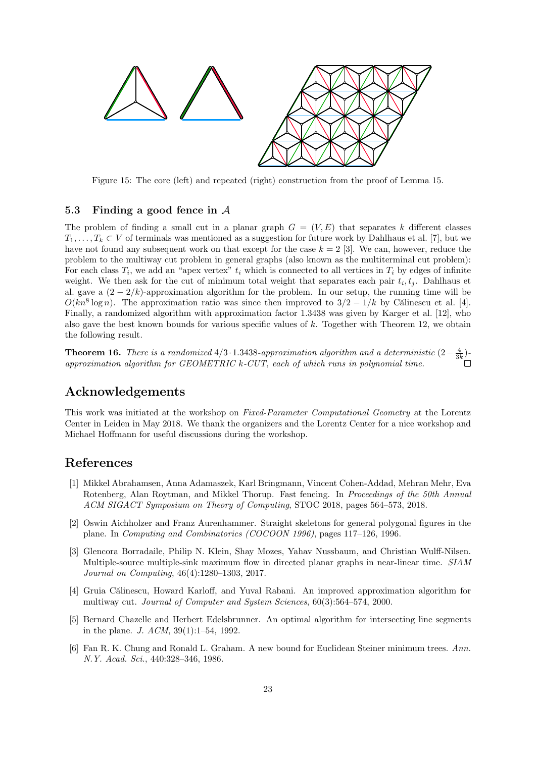<span id="page-22-7"></span>

Figure 15: The core (left) and repeated (right) construction from the proof of Lemma [15.](#page-21-5)

### <span id="page-22-6"></span>5.3 Finding a good fence in A

The problem of finding a small cut in a planar graph  $G = (V, E)$  that separates k different classes  $T_1, \ldots, T_k \subset V$  of terminals was mentioned as a suggestion for future work by Dahlhaus et al. [\[7\]](#page-23-5), but we have not found any subsequent work on that except for the case  $k = 2$  [\[3\]](#page-22-4). We can, however, reduce the problem to the multiway cut problem in general graphs (also known as the multiterminal cut problem): For each class  $T_i$ , we add an "apex vertex"  $t_i$  which is connected to all vertices in  $T_i$  by edges of infinite weight. We then ask for the cut of minimum total weight that separates each pair  $t_i, t_j$ . Dahlhaus et al. gave a  $(2-2/k)$ -approximation algorithm for the problem. In our setup, the running time will be  $O(kn^8 \log n)$ . The approximation ratio was since then improved to  $3/2 - 1/k$  by Călinescu et al. [\[4\]](#page-22-1). Finally, a randomized algorithm with approximation factor 1.3438 was given by Karger et al. [\[12\]](#page-23-6), who also gave the best known bounds for various specific values of k. Together with Theorem [12,](#page-18-4) we obtain the following result.

<span id="page-22-2"></span>**Theorem 16.** There is a randomized  $4/3 \cdot 1.3438$ -approximation algorithm and a deterministic  $(2 - \frac{4}{3k})$ approximation algorithm for GEOMETRIC k-CUT, each of which runs in polynomial time.

## Acknowledgements

This work was initiated at the workshop on Fixed-Parameter Computational Geometry at the Lorentz Center in Leiden in May 2018. We thank the organizers and the Lorentz Center for a nice workshop and Michael Hoffmann for useful discussions during the workshop.

## References

- <span id="page-22-0"></span>[1] Mikkel Abrahamsen, Anna Adamaszek, Karl Bringmann, Vincent Cohen-Addad, Mehran Mehr, Eva Rotenberg, Alan Roytman, and Mikkel Thorup. Fast fencing. In Proceedings of the 50th Annual ACM SIGACT Symposium on Theory of Computing, STOC 2018, pages 564–573, 2018.
- <span id="page-22-5"></span>[2] Oswin Aichholzer and Franz Aurenhammer. Straight skeletons for general polygonal figures in the plane. In Computing and Combinatorics (COCOON 1996), pages 117–126, 1996.
- <span id="page-22-4"></span>[3] Glencora Borradaile, Philip N. Klein, Shay Mozes, Yahav Nussbaum, and Christian Wulff-Nilsen. Multiple-source multiple-sink maximum flow in directed planar graphs in near-linear time. SIAM Journal on Computing, 46(4):1280–1303, 2017.
- <span id="page-22-1"></span>[4] Gruia Călinescu, Howard Karloff, and Yuval Rabani. An improved approximation algorithm for multiway cut. Journal of Computer and System Sciences, 60(3):564–574, 2000.
- <span id="page-22-3"></span>[5] Bernard Chazelle and Herbert Edelsbrunner. An optimal algorithm for intersecting line segments in the plane. J. ACM, 39(1):1–54, 1992.
- <span id="page-22-8"></span>[6] Fan R. K. Chung and Ronald L. Graham. A new bound for Euclidean Steiner minimum trees. Ann. N.Y. Acad. Sci., 440:328–346, 1986.